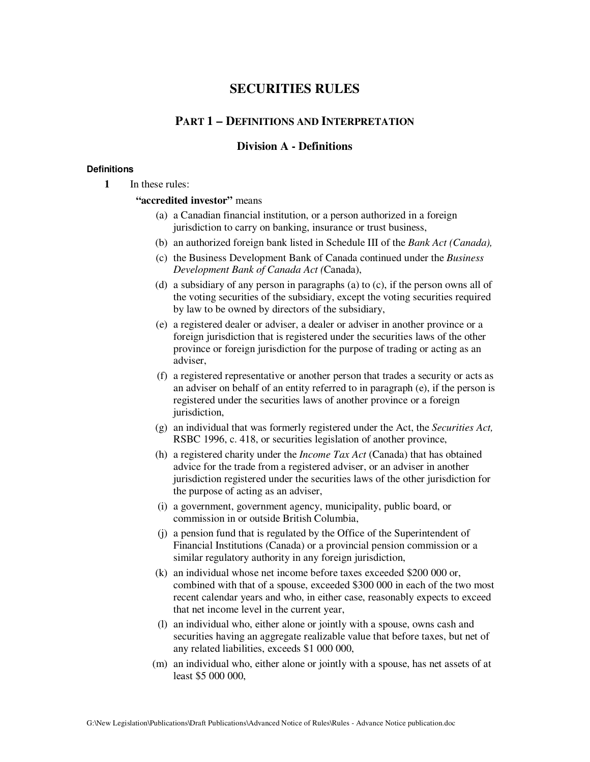# **SECURITIES RULES**

# **PART 1 – DEFINITIONS AND INTERPRETATION**

# **Division A - Definitions**

# **Definitions**

**1** In these rules:

# **"accredited investor"** means

- (a) a Canadian financial institution, or a person authorized in a foreign jurisdiction to carry on banking, insurance or trust business,
- (b) an authorized foreign bank listed in Schedule III of the *Bank Act (Canada),*
- (c) the Business Development Bank of Canada continued under the *Business Development Bank of Canada Act (*Canada),
- (d) a subsidiary of any person in paragraphs (a) to (c), if the person owns all of the voting securities of the subsidiary, except the voting securities required by law to be owned by directors of the subsidiary,
- (e) a registered dealer or adviser, a dealer or adviser in another province or a foreign jurisdiction that is registered under the securities laws of the other province or foreign jurisdiction for the purpose of trading or acting as an adviser,
- (f) a registered representative or another person that trades a security or acts as an adviser on behalf of an entity referred to in paragraph (e), if the person is registered under the securities laws of another province or a foreign jurisdiction,
- (g) an individual that was formerly registered under the Act, the *Securities Act,* RSBC 1996, c. 418, or securities legislation of another province,
- (h) a registered charity under the *Income Tax Act* (Canada) that has obtained advice for the trade from a registered adviser, or an adviser in another jurisdiction registered under the securities laws of the other jurisdiction for the purpose of acting as an adviser,
- (i) a government, government agency, municipality, public board, or commission in or outside British Columbia,
- (j) a pension fund that is regulated by the Office of the Superintendent of Financial Institutions (Canada) or a provincial pension commission or a similar regulatory authority in any foreign jurisdiction,
- (k) an individual whose net income before taxes exceeded \$200 000 or, combined with that of a spouse, exceeded \$300 000 in each of the two most recent calendar years and who, in either case, reasonably expects to exceed that net income level in the current year,
- (l) an individual who, either alone or jointly with a spouse, owns cash and securities having an aggregate realizable value that before taxes, but net of any related liabilities, exceeds \$1 000 000,
- (m) an individual who, either alone or jointly with a spouse, has net assets of at least \$5 000 000,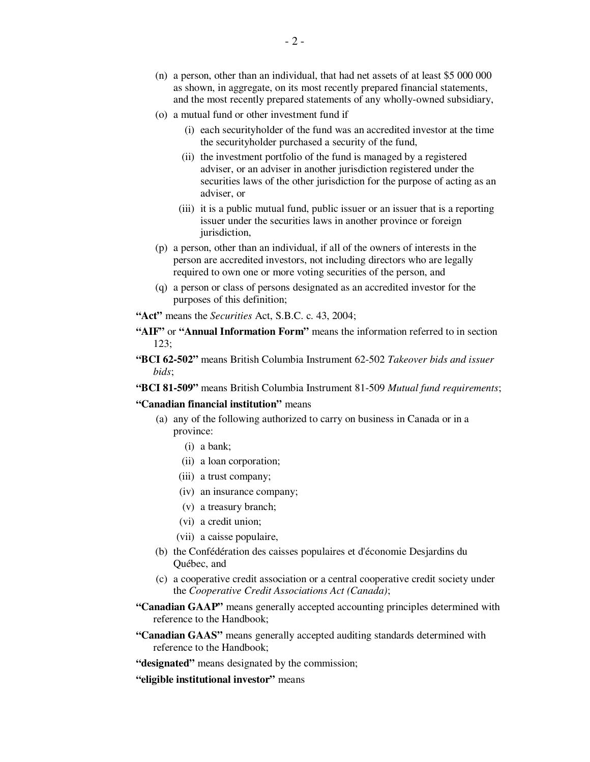- (n) a person, other than an individual, that had net assets of at least \$5 000 000 as shown, in aggregate, on its most recently prepared financial statements, and the most recently prepared statements of any wholly-owned subsidiary,
- (o) a mutual fund or other investment fund if
	- (i) each securityholder of the fund was an accredited investor at the time the securityholder purchased a security of the fund,
	- (ii) the investment portfolio of the fund is managed by a registered adviser, or an adviser in another jurisdiction registered under the securities laws of the other jurisdiction for the purpose of acting as an adviser, or
	- (iii) it is a public mutual fund, public issuer or an issuer that is a reporting issuer under the securities laws in another province or foreign jurisdiction,
- (p) a person, other than an individual, if all of the owners of interests in the person are accredited investors, not including directors who are legally required to own one or more voting securities of the person, and
- (q) a person or class of persons designated as an accredited investor for the purposes of this definition;
- **"Act"** means the *Securities* Act, S.B.C. c. 43, 2004;
- **"AIF"** or **"Annual Information Form"** means the information referred to in section 123;
- **"BCI 62-502"** means British Columbia Instrument 62-502 *Takeover bids and issuer bids*;
- **"BCI 81-509"** means British Columbia Instrument 81-509 *Mutual fund requirements*;

#### **"Canadian financial institution"** means

- (a) any of the following authorized to carry on business in Canada or in a province:
	- (i) a bank;
	- (ii) a loan corporation;
	- (iii) a trust company;
	- (iv) an insurance company;
	- (v) a treasury branch;
	- (vi) a credit union;
	- (vii) a caisse populaire,
- (b) the Confédération des caisses populaires et d'économie Desjardins du Québec, and
- (c) a cooperative credit association or a central cooperative credit society under the *Cooperative Credit Associations Act (Canada)*;
- **"Canadian GAAP"** means generally accepted accounting principles determined with reference to the Handbook;
- **"Canadian GAAS"** means generally accepted auditing standards determined with reference to the Handbook;
- **"designated"** means designated by the commission;
- **"eligible institutional investor"** means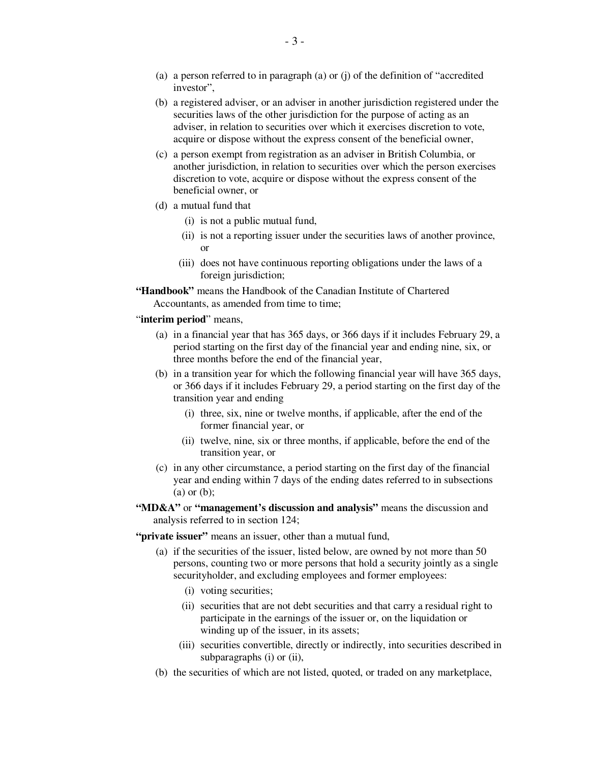- (a) a person referred to in paragraph (a) or (j) of the definition of "accredited investor",
- (b) a registered adviser, or an adviser in another jurisdiction registered under the securities laws of the other jurisdiction for the purpose of acting as an adviser, in relation to securities over which it exercises discretion to vote, acquire or dispose without the express consent of the beneficial owner,
- (c) a person exempt from registration as an adviser in British Columbia, or another jurisdiction, in relation to securities over which the person exercises discretion to vote, acquire or dispose without the express consent of the beneficial owner, or
- (d) a mutual fund that
	- (i) is not a public mutual fund,
	- (ii) is not a reporting issuer under the securities laws of another province, or
	- (iii) does not have continuous reporting obligations under the laws of a foreign jurisdiction;

**"Handbook"** means the Handbook of the Canadian Institute of Chartered Accountants, as amended from time to time;

#### "**interim period**" means,

- (a) in a financial year that has 365 days, or 366 days if it includes February 29, a period starting on the first day of the financial year and ending nine, six, or three months before the end of the financial year,
- (b) in a transition year for which the following financial year will have 365 days, or 366 days if it includes February 29, a period starting on the first day of the transition year and ending
	- (i) three, six, nine or twelve months, if applicable, after the end of the former financial year, or
	- (ii) twelve, nine, six or three months, if applicable, before the end of the transition year, or
- (c) in any other circumstance, a period starting on the first day of the financial year and ending within 7 days of the ending dates referred to in subsections (a) or (b);
- **"MD&A"** or **"management's discussion and analysis"** means the discussion and analysis referred to in section 124;

**"private issuer"** means an issuer, other than a mutual fund,

- (a) if the securities of the issuer, listed below, are owned by not more than 50 persons, counting two or more persons that hold a security jointly as a single securityholder, and excluding employees and former employees:
	- (i) voting securities;
	- (ii) securities that are not debt securities and that carry a residual right to participate in the earnings of the issuer or, on the liquidation or winding up of the issuer, in its assets;
	- (iii) securities convertible, directly or indirectly, into securities described in subparagraphs (i) or (ii),
- (b) the securities of which are not listed, quoted, or traded on any marketplace,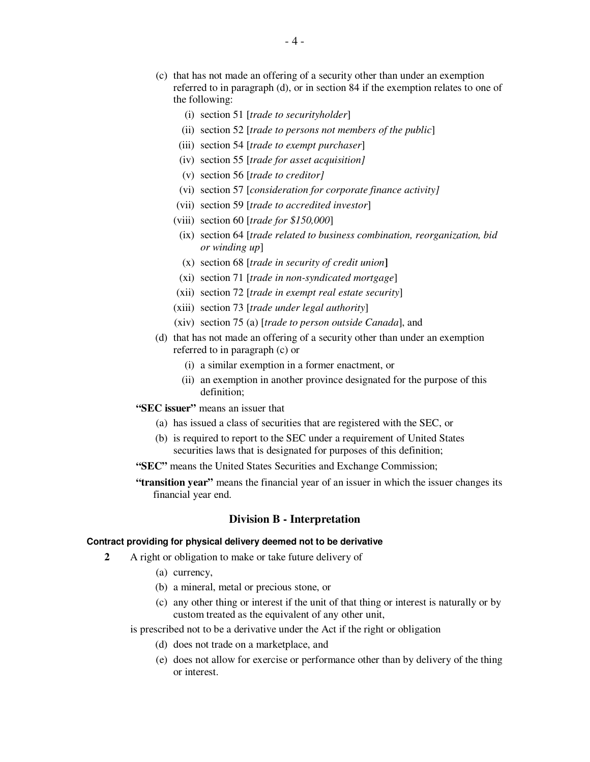- (c) that has not made an offering of a security other than under an exemption referred to in paragraph (d), or in section 84 if the exemption relates to one of the following:
	- (i) section 51 [*trade to securityholder*]
	- (ii) section 52 [*trade to persons not members of the public*]
	- (iii) section 54 [*trade to exempt purchaser*]
	- (iv) section 55 [*trade for asset acquisition]*
	- (v) section 56 [*trade to creditor]*
	- (vi) section 57 [*consideration for corporate finance activity]*
	- (vii) section 59 [*trade to accredited investor*]
	- (viii) section 60 [*trade for \$150,000*]
	- (ix) section 64 [*trade related to business combination, reorganization, bid or winding up*]
	- (x) section 68 [*trade in security of credit union***]**
	- (xi) section 71 [*trade in non-syndicated mortgage*]
	- (xii) section 72 [*trade in exempt real estate security*]
	- (xiii) section 73 [*trade under legal authority*]
	- (xiv) section 75 (a) [*trade to person outside Canada*], and
- (d) that has not made an offering of a security other than under an exemption referred to in paragraph (c) or
	- (i) a similar exemption in a former enactment, or
	- (ii) an exemption in another province designated for the purpose of this definition;
- **"SEC issuer"** means an issuer that
	- (a) has issued a class of securities that are registered with the SEC, or
	- (b) is required to report to the SEC under a requirement of United States securities laws that is designated for purposes of this definition;
- **"SEC"** means the United States Securities and Exchange Commission;
- **"transition year"** means the financial year of an issuer in which the issuer changes its financial year end.

# **Division B - Interpretation**

#### **Contract providing for physical delivery deemed not to be derivative**

- **2** A right or obligation to make or take future delivery of
	- (a) currency,
	- (b) a mineral, metal or precious stone, or
	- (c) any other thing or interest if the unit of that thing or interest is naturally or by custom treated as the equivalent of any other unit,

is prescribed not to be a derivative under the Act if the right or obligation

- (d) does not trade on a marketplace, and
- (e) does not allow for exercise or performance other than by delivery of the thing or interest.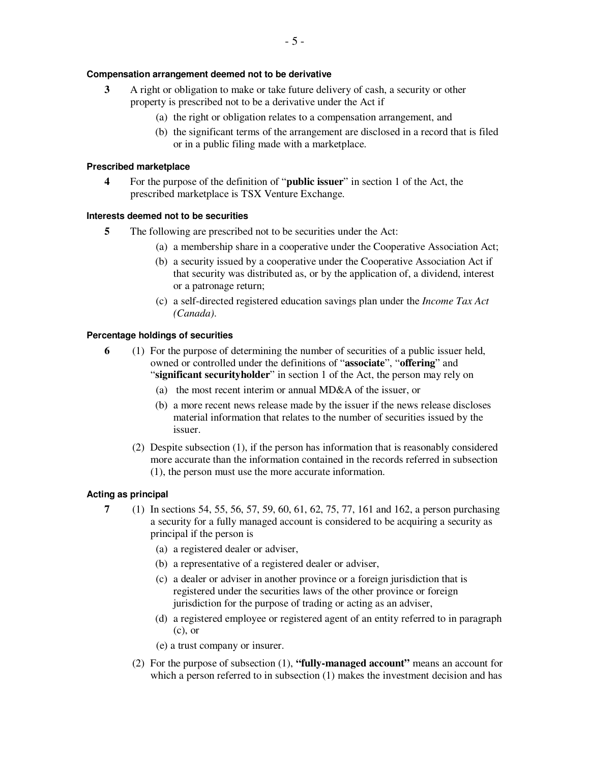## **Compensation arrangement deemed not to be derivative**

- **3** A right or obligation to make or take future delivery of cash, a security or other property is prescribed not to be a derivative under the Act if
	- (a) the right or obligation relates to a compensation arrangement, and
	- (b) the significant terms of the arrangement are disclosed in a record that is filed or in a public filing made with a marketplace.

#### **Prescribed marketplace**

**4** For the purpose of the definition of "**public issuer**" in section 1 of the Act, the prescribed marketplace is TSX Venture Exchange.

#### **Interests deemed not to be securities**

- **5** The following are prescribed not to be securities under the Act:
	- (a) a membership share in a cooperative under the Cooperative Association Act;
	- (b) a security issued by a cooperative under the Cooperative Association Act if that security was distributed as, or by the application of, a dividend, interest or a patronage return;
	- (c) a self-directed registered education savings plan under the *Income Tax Act (Canada)*.

#### **Percentage holdings of securities**

- **6** (1) For the purpose of determining the number of securities of a public issuer held, owned or controlled under the definitions of "**associate**", "**offering**" and "**significant securityholder**" in section 1 of the Act, the person may rely on
	- (a) the most recent interim or annual MD&A of the issuer, or
	- (b) a more recent news release made by the issuer if the news release discloses material information that relates to the number of securities issued by the issuer.
	- (2) Despite subsection (1), if the person has information that is reasonably considered more accurate than the information contained in the records referred in subsection (1), the person must use the more accurate information.

## **Acting as principal**

- **7** (1) In sections 54, 55, 56, 57, 59, 60, 61, 62, 75, 77, 161 and 162, a person purchasing a security for a fully managed account is considered to be acquiring a security as principal if the person is
	- (a) a registered dealer or adviser,
	- (b) a representative of a registered dealer or adviser,
	- (c) a dealer or adviser in another province or a foreign jurisdiction that is registered under the securities laws of the other province or foreign jurisdiction for the purpose of trading or acting as an adviser,
	- (d) a registered employee or registered agent of an entity referred to in paragraph (c), or
	- (e) a trust company or insurer.
	- (2) For the purpose of subsection (1), **"fully-managed account"** means an account for which a person referred to in subsection (1) makes the investment decision and has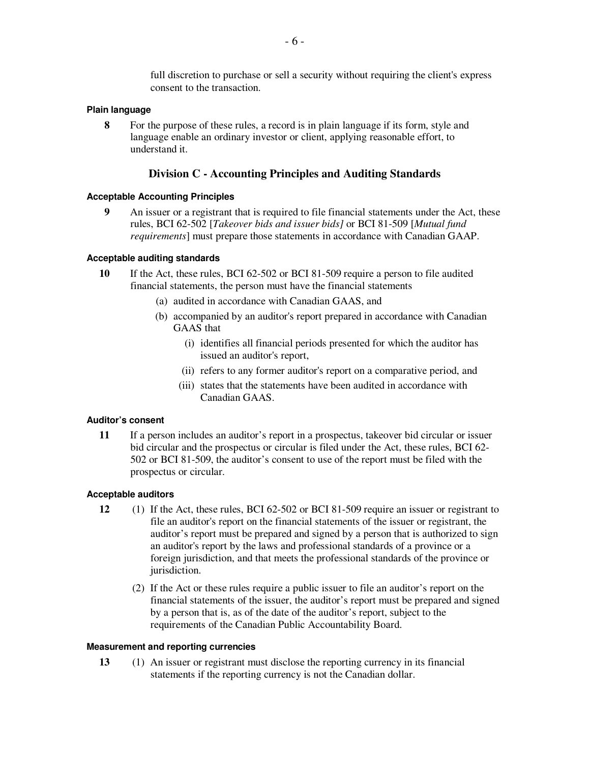full discretion to purchase or sell a security without requiring the client's express consent to the transaction.

## **Plain language**

**8** For the purpose of these rules, a record is in plain language if its form, style and language enable an ordinary investor or client, applying reasonable effort, to understand it.

# **Division C - Accounting Principles and Auditing Standards**

# **Acceptable Accounting Principles**

**9** An issuer or a registrant that is required to file financial statements under the Act, these rules, BCI 62-502 [*Takeover bids and issuer bids]* or BCI 81-509 [*Mutual fund requirements*] must prepare those statements in accordance with Canadian GAAP.

# **Acceptable auditing standards**

- **10** If the Act, these rules, BCI 62-502 or BCI 81-509 require a person to file audited financial statements, the person must have the financial statements
	- (a) audited in accordance with Canadian GAAS, and
	- (b) accompanied by an auditor's report prepared in accordance with Canadian GAAS that
		- (i) identifies all financial periods presented for which the auditor has issued an auditor's report,
		- (ii) refers to any former auditor's report on a comparative period, and
		- (iii) states that the statements have been audited in accordance with Canadian GAAS.

## **Auditor's consent**

**11** If a person includes an auditor's report in a prospectus, takeover bid circular or issuer bid circular and the prospectus or circular is filed under the Act, these rules, BCI 62- 502 or BCI 81-509, the auditor's consent to use of the report must be filed with the prospectus or circular.

## **Acceptable auditors**

- **12** (1) If the Act, these rules, BCI 62-502 or BCI 81-509 require an issuer or registrant to file an auditor's report on the financial statements of the issuer or registrant, the auditor's report must be prepared and signed by a person that is authorized to sign an auditor's report by the laws and professional standards of a province or a foreign jurisdiction, and that meets the professional standards of the province or jurisdiction.
	- (2) If the Act or these rules require a public issuer to file an auditor's report on the financial statements of the issuer, the auditor's report must be prepared and signed by a person that is, as of the date of the auditor's report, subject to the requirements of the Canadian Public Accountability Board.

## **Measurement and reporting currencies**

**13** (1) An issuer or registrant must disclose the reporting currency in its financial statements if the reporting currency is not the Canadian dollar.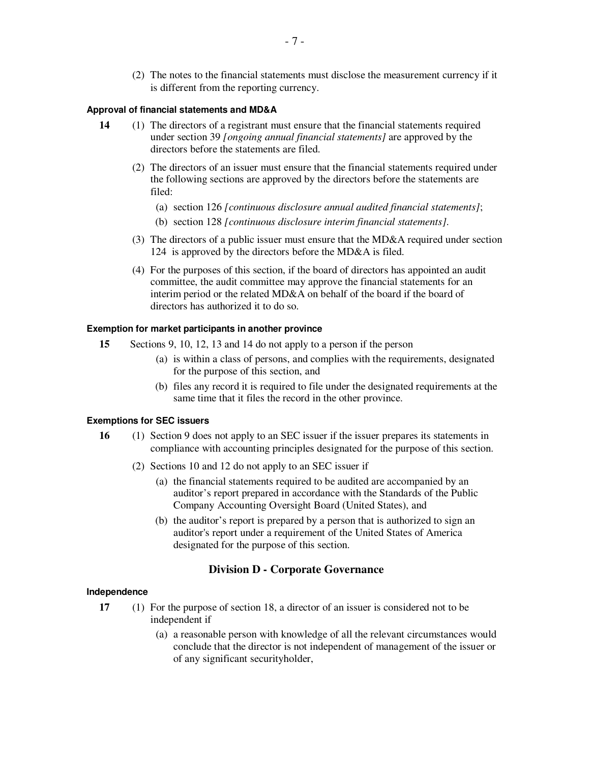(2) The notes to the financial statements must disclose the measurement currency if it is different from the reporting currency.

#### **Approval of financial statements and MD&A**

- **14** (1) The directors of a registrant must ensure that the financial statements required under section 39 *[ongoing annual financial statements]* are approved by the directors before the statements are filed.
	- (2) The directors of an issuer must ensure that the financial statements required under the following sections are approved by the directors before the statements are filed:
		- (a) section 126 *[continuous disclosure annual audited financial statements]*;
		- (b) section 128 *[continuous disclosure interim financial statements]*.
	- (3) The directors of a public issuer must ensure that the MD&A required under section 124 is approved by the directors before the MD&A is filed.
	- (4) For the purposes of this section, if the board of directors has appointed an audit committee, the audit committee may approve the financial statements for an interim period or the related MD&A on behalf of the board if the board of directors has authorized it to do so.

#### **Exemption for market participants in another province**

- **15** Sections 9, 10, 12, 13 and 14 do not apply to a person if the person
	- (a) is within a class of persons, and complies with the requirements, designated for the purpose of this section, and
	- (b) files any record it is required to file under the designated requirements at the same time that it files the record in the other province.

# **Exemptions for SEC issuers**

- **16** (1) Section 9 does not apply to an SEC issuer if the issuer prepares its statements in compliance with accounting principles designated for the purpose of this section.
	- (2) Sections 10 and 12 do not apply to an SEC issuer if
		- (a) the financial statements required to be audited are accompanied by an auditor's report prepared in accordance with the Standards of the Public Company Accounting Oversight Board (United States), and
		- (b) the auditor's report is prepared by a person that is authorized to sign an auditor's report under a requirement of the United States of America designated for the purpose of this section.

## **Division D - Corporate Governance**

## **Independence**

- **17** (1) For the purpose of section 18, a director of an issuer is considered not to be independent if
	- (a) a reasonable person with knowledge of all the relevant circumstances would conclude that the director is not independent of management of the issuer or of any significant securityholder,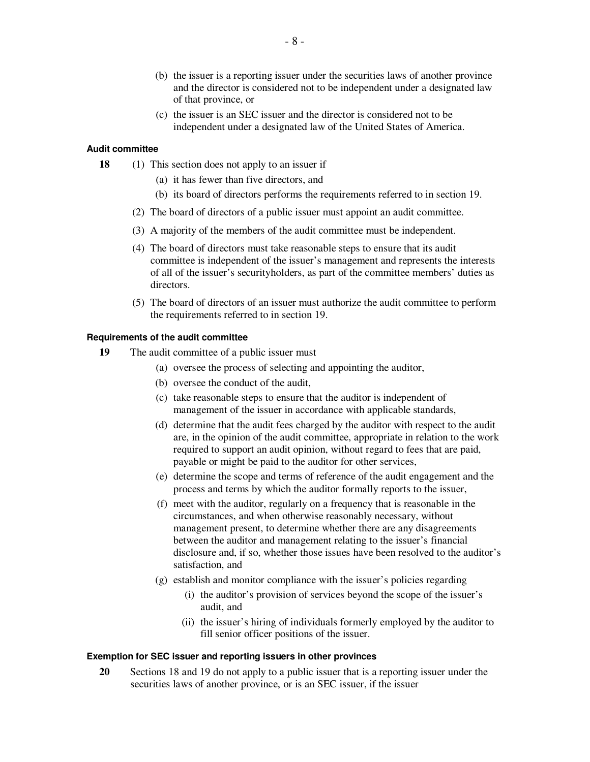- (b) the issuer is a reporting issuer under the securities laws of another province and the director is considered not to be independent under a designated law of that province, or
- (c) the issuer is an SEC issuer and the director is considered not to be independent under a designated law of the United States of America.

## **Audit committee**

- **18** (1) This section does not apply to an issuer if
	- (a) it has fewer than five directors, and
	- (b) its board of directors performs the requirements referred to in section 19.
	- (2) The board of directors of a public issuer must appoint an audit committee.
	- (3) A majority of the members of the audit committee must be independent.
	- (4) The board of directors must take reasonable steps to ensure that its audit committee is independent of the issuer's management and represents the interests of all of the issuer's securityholders, as part of the committee members' duties as directors.
	- (5) The board of directors of an issuer must authorize the audit committee to perform the requirements referred to in section 19.

#### **Requirements of the audit committee**

- **19** The audit committee of a public issuer must
	- (a) oversee the process of selecting and appointing the auditor,
	- (b) oversee the conduct of the audit,
	- (c) take reasonable steps to ensure that the auditor is independent of management of the issuer in accordance with applicable standards,
	- (d) determine that the audit fees charged by the auditor with respect to the audit are, in the opinion of the audit committee, appropriate in relation to the work required to support an audit opinion, without regard to fees that are paid, payable or might be paid to the auditor for other services,
	- (e) determine the scope and terms of reference of the audit engagement and the process and terms by which the auditor formally reports to the issuer,
	- (f) meet with the auditor, regularly on a frequency that is reasonable in the circumstances, and when otherwise reasonably necessary, without management present, to determine whether there are any disagreements between the auditor and management relating to the issuer's financial disclosure and, if so, whether those issues have been resolved to the auditor's satisfaction, and
	- (g) establish and monitor compliance with the issuer's policies regarding
		- (i) the auditor's provision of services beyond the scope of the issuer's audit, and
		- (ii) the issuer's hiring of individuals formerly employed by the auditor to fill senior officer positions of the issuer.

#### **Exemption for SEC issuer and reporting issuers in other provinces**

**20** Sections 18 and 19 do not apply to a public issuer that is a reporting issuer under the securities laws of another province, or is an SEC issuer, if the issuer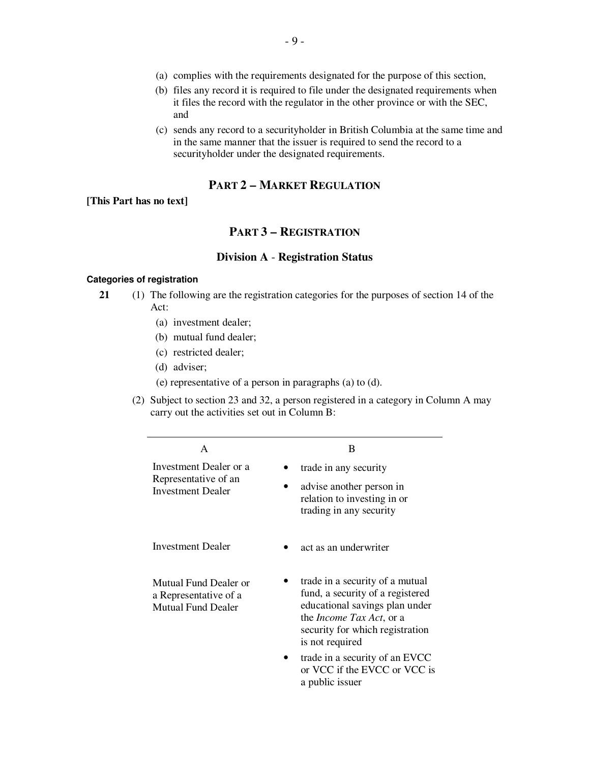- (b) files any record it is required to file under the designated requirements when it files the record with the regulator in the other province or with the SEC, and
- (c) sends any record to a securityholder in British Columbia at the same time and in the same manner that the issuer is required to send the record to a securityholder under the designated requirements.

# **PART 2 – MARKET REGULATION**

**[This Part has no text]**

# **PART 3 – REGISTRATION**

# **Division A** - **Registration Status**

#### **Categories of registration**

- **21** (1) The following are the registration categories for the purposes of section 14 of the Act:
	- (a) investment dealer;
	- (b) mutual fund dealer;
	- (c) restricted dealer;
	- (d) adviser;
	- (e) representative of a person in paragraphs (a) to (d).
	- (2) Subject to section 23 and 32, a person registered in a category in Column A may carry out the activities set out in Column B:

| A                                                                           | B                                                                                                                                                                                               |
|-----------------------------------------------------------------------------|-------------------------------------------------------------------------------------------------------------------------------------------------------------------------------------------------|
| Investment Dealer or a<br>Representative of an<br><b>Investment Dealer</b>  | trade in any security<br>advise another person in<br>relation to investing in or<br>trading in any security                                                                                     |
| Investment Dealer                                                           | act as an underwriter                                                                                                                                                                           |
| Mutual Fund Dealer or<br>a Representative of a<br><b>Mutual Fund Dealer</b> | trade in a security of a mutual<br>fund, a security of a registered<br>educational savings plan under<br>the <i>Income Tax Act</i> , or a<br>security for which registration<br>is not required |
|                                                                             | trade in a security of an EVCC<br>or VCC if the EVCC or VCC is<br>a public issuer                                                                                                               |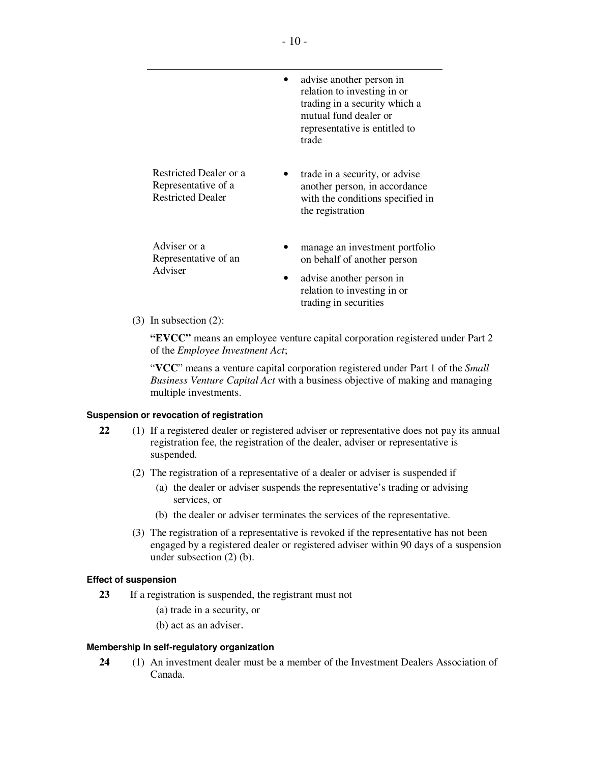|                                                                           | advise another person in<br>relation to investing in or<br>trading in a security which a<br>mutual fund dealer or<br>representative is entitled to<br>trade |
|---------------------------------------------------------------------------|-------------------------------------------------------------------------------------------------------------------------------------------------------------|
| Restricted Dealer or a<br>Representative of a<br><b>Restricted Dealer</b> | trade in a security, or advise<br>another person, in accordance<br>with the conditions specified in<br>the registration                                     |
| Adviser or a<br>Representative of an<br>Adviser                           | manage an investment portfolio<br>on behalf of another person<br>advise another person in<br>relation to investing in or                                    |

(3) In subsection (2):

**"EVCC"** means an employee venture capital corporation registered under Part 2 of the *Employee Investment Act*;

trading in securities

"**VCC**" means a venture capital corporation registered under Part 1 of the *Small Business Venture Capital Act* with a business objective of making and managing multiple investments.

## **Suspension or revocation of registration**

- **22** (1) If a registered dealer or registered adviser or representative does not pay its annual registration fee, the registration of the dealer, adviser or representative is suspended.
	- (2) The registration of a representative of a dealer or adviser is suspended if
		- (a) the dealer or adviser suspends the representative's trading or advising services, or
		- (b) the dealer or adviser terminates the services of the representative.
	- (3) The registration of a representative is revoked if the representative has not been engaged by a registered dealer or registered adviser within 90 days of a suspension under subsection (2) (b).

## **Effect of suspension**

- **23** If a registration is suspended, the registrant must not
	- (a) trade in a security, or
	- (b) act as an adviser.

## **Membership in self-regulatory organization**

**24** (1) An investment dealer must be a member of the Investment Dealers Association of Canada.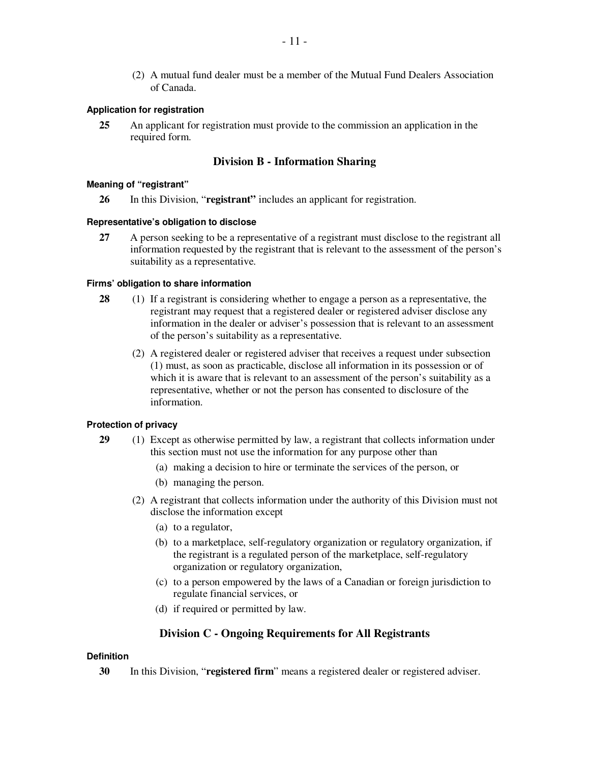(2) A mutual fund dealer must be a member of the Mutual Fund Dealers Association of Canada.

#### **Application for registration**

**25** An applicant for registration must provide to the commission an application in the required form.

# **Division B - Information Sharing**

#### **Meaning of "registrant"**

**26** In this Division, "**registrant"** includes an applicant for registration.

#### **Representative's obligation to disclose**

**27** A person seeking to be a representative of a registrant must disclose to the registrant all information requested by the registrant that is relevant to the assessment of the person's suitability as a representative.

#### **Firms' obligation to share information**

- **28** (1) If a registrant is considering whether to engage a person as a representative, the registrant may request that a registered dealer or registered adviser disclose any information in the dealer or adviser's possession that is relevant to an assessment of the person's suitability as a representative.
	- (2) A registered dealer or registered adviser that receives a request under subsection (1) must, as soon as practicable, disclose all information in its possession or of which it is aware that is relevant to an assessment of the person's suitability as a representative, whether or not the person has consented to disclosure of the information.

# **Protection of privacy**

- **29** (1) Except as otherwise permitted by law, a registrant that collects information under this section must not use the information for any purpose other than
	- (a) making a decision to hire or terminate the services of the person, or
	- (b) managing the person.
	- (2) A registrant that collects information under the authority of this Division must not disclose the information except
		- (a) to a regulator,
		- (b) to a marketplace, self-regulatory organization or regulatory organization, if the registrant is a regulated person of the marketplace, self-regulatory organization or regulatory organization,
		- (c) to a person empowered by the laws of a Canadian or foreign jurisdiction to regulate financial services, or
		- (d) if required or permitted by law.

## **Division C - Ongoing Requirements for All Registrants**

# **Definition**

**30** In this Division, "**registered firm**" means a registered dealer or registered adviser.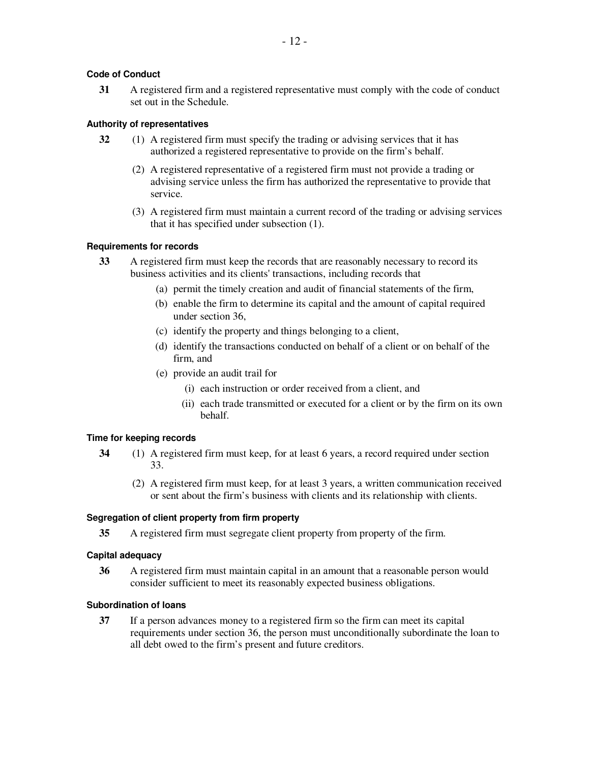# **Code of Conduct**

**31** A registered firm and a registered representative must comply with the code of conduct set out in the Schedule.

# **Authority of representatives**

- **32** (1) A registered firm must specify the trading or advising services that it has authorized a registered representative to provide on the firm's behalf.
	- (2) A registered representative of a registered firm must not provide a trading or advising service unless the firm has authorized the representative to provide that service.
	- (3) A registered firm must maintain a current record of the trading or advising services that it has specified under subsection (1).

# **Requirements for records**

- **33** A registered firm must keep the records that are reasonably necessary to record its business activities and its clients' transactions, including records that
	- (a) permit the timely creation and audit of financial statements of the firm,
	- (b) enable the firm to determine its capital and the amount of capital required under section 36,
	- (c) identify the property and things belonging to a client,
	- (d) identify the transactions conducted on behalf of a client or on behalf of the firm, and
	- (e) provide an audit trail for
		- (i) each instruction or order received from a client, and
		- (ii) each trade transmitted or executed for a client or by the firm on its own behalf.

# **Time for keeping records**

- **34** (1) A registered firm must keep, for at least 6 years, a record required under section 33.
	- (2) A registered firm must keep, for at least 3 years, a written communication received or sent about the firm's business with clients and its relationship with clients.

# **Segregation of client property from firm property**

**35** A registered firm must segregate client property from property of the firm.

# **Capital adequacy**

**36** A registered firm must maintain capital in an amount that a reasonable person would consider sufficient to meet its reasonably expected business obligations.

# **Subordination of loans**

**37** If a person advances money to a registered firm so the firm can meet its capital requirements under section 36, the person must unconditionally subordinate the loan to all debt owed to the firm's present and future creditors.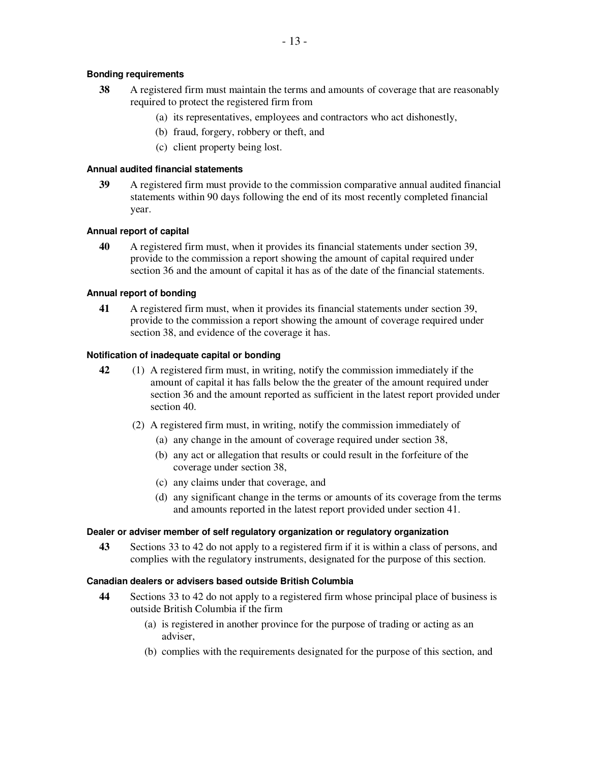# **Bonding requirements**

- **38** A registered firm must maintain the terms and amounts of coverage that are reasonably required to protect the registered firm from
	- (a) its representatives, employees and contractors who act dishonestly,
	- (b) fraud, forgery, robbery or theft, and
	- (c) client property being lost.

# **Annual audited financial statements**

**39** A registered firm must provide to the commission comparative annual audited financial statements within 90 days following the end of its most recently completed financial year.

# **Annual report of capital**

**40** A registered firm must, when it provides its financial statements under section 39, provide to the commission a report showing the amount of capital required under section 36 and the amount of capital it has as of the date of the financial statements.

# **Annual report of bonding**

**41** A registered firm must, when it provides its financial statements under section 39, provide to the commission a report showing the amount of coverage required under section 38, and evidence of the coverage it has.

# **Notification of inadequate capital or bonding**

- **42** (1) A registered firm must, in writing, notify the commission immediately if the amount of capital it has falls below the the greater of the amount required under section 36 and the amount reported as sufficient in the latest report provided under section 40.
	- (2) A registered firm must, in writing, notify the commission immediately of
		- (a) any change in the amount of coverage required under section 38,
		- (b) any act or allegation that results or could result in the forfeiture of the coverage under section 38,
		- (c) any claims under that coverage, and
		- (d) any significant change in the terms or amounts of its coverage from the terms and amounts reported in the latest report provided under section 41.

# **Dealer or adviser member of self regulatory organization or regulatory organization**

**43** Sections 33 to 42 do not apply to a registered firm if it is within a class of persons, and complies with the regulatory instruments, designated for the purpose of this section.

# **Canadian dealers or advisers based outside British Columbia**

- **44** Sections 33 to 42 do not apply to a registered firm whose principal place of business is outside British Columbia if the firm
	- (a) is registered in another province for the purpose of trading or acting as an adviser,
	- (b) complies with the requirements designated for the purpose of this section, and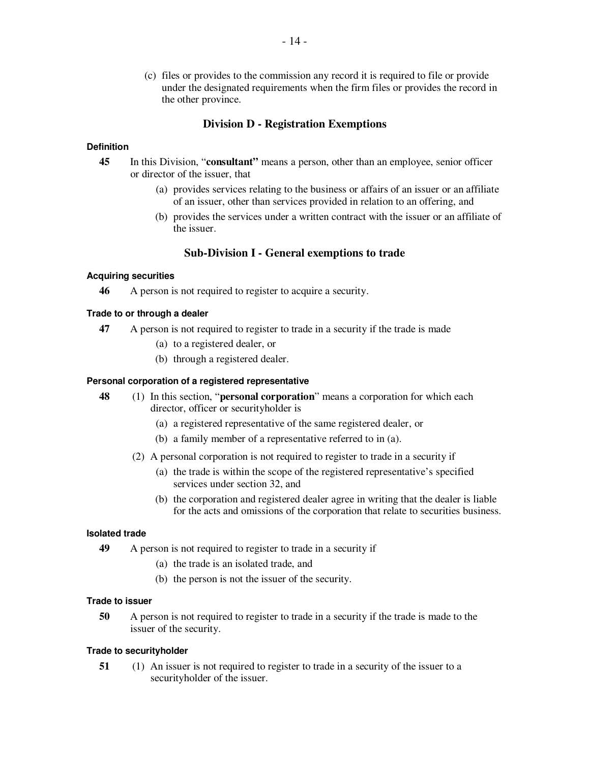(c) files or provides to the commission any record it is required to file or provide under the designated requirements when the firm files or provides the record in the other province.

# **Division D - Registration Exemptions**

#### **Definition**

- **45** In this Division, "**consultant"** means a person, other than an employee, senior officer or director of the issuer, that
	- (a) provides services relating to the business or affairs of an issuer or an affiliate of an issuer, other than services provided in relation to an offering, and
	- (b) provides the services under a written contract with the issuer or an affiliate of the issuer.

# **Sub-Division I - General exemptions to trade**

## **Acquiring securities**

**46** A person is not required to register to acquire a security.

#### **Trade to or through a dealer**

- **47** A person is not required to register to trade in a security if the trade is made
	- (a) to a registered dealer, or
	- (b) through a registered dealer.

#### **Personal corporation of a registered representative**

- **48** (1) In this section, "**personal corporation**" means a corporation for which each director, officer or securityholder is
	- (a) a registered representative of the same registered dealer, or
	- (b) a family member of a representative referred to in (a).
	- (2) A personal corporation is not required to register to trade in a security if
		- (a) the trade is within the scope of the registered representative's specified services under section 32, and
		- (b) the corporation and registered dealer agree in writing that the dealer is liable for the acts and omissions of the corporation that relate to securities business.

#### **Isolated trade**

- **49** A person is not required to register to trade in a security if
	- (a) the trade is an isolated trade, and
	- (b) the person is not the issuer of the security.

#### **Trade to issuer**

**50** A person is not required to register to trade in a security if the trade is made to the issuer of the security.

#### **Trade to securityholder**

**51** (1) An issuer is not required to register to trade in a security of the issuer to a securityholder of the issuer.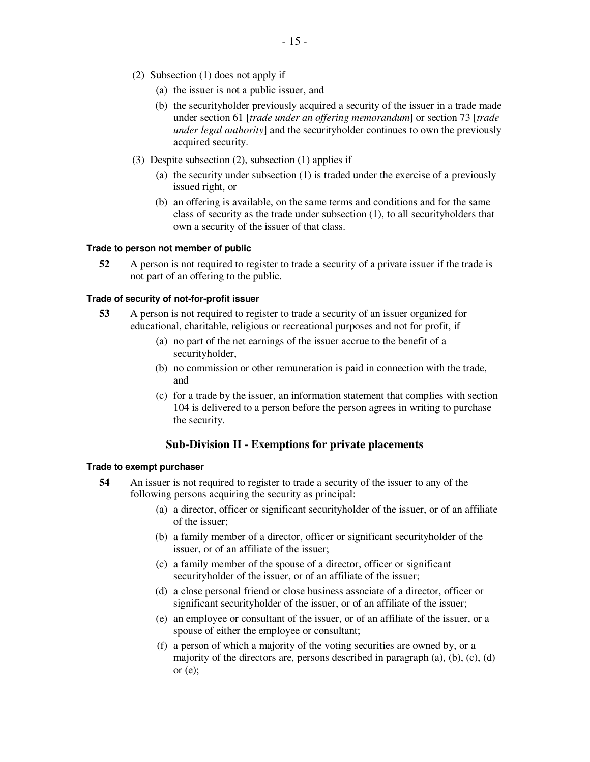- (2) Subsection (1) does not apply if
	- (a) the issuer is not a public issuer, and
	- (b) the securityholder previously acquired a security of the issuer in a trade made under section 61 [*trade under an offering memorandum*] or section 73 [*trade under legal authority*] and the securityholder continues to own the previously acquired security.
- (3) Despite subsection (2), subsection (1) applies if
	- (a) the security under subsection (1) is traded under the exercise of a previously issued right, or
	- (b) an offering is available, on the same terms and conditions and for the same class of security as the trade under subsection (1), to all securityholders that own a security of the issuer of that class.

#### **Trade to person not member of public**

**52** A person is not required to register to trade a security of a private issuer if the trade is not part of an offering to the public.

#### **Trade of security of not-for-profit issuer**

- **53** A person is not required to register to trade a security of an issuer organized for educational, charitable, religious or recreational purposes and not for profit, if
	- (a) no part of the net earnings of the issuer accrue to the benefit of a securityholder,
	- (b) no commission or other remuneration is paid in connection with the trade, and
	- (c) for a trade by the issuer, an information statement that complies with section 104 is delivered to a person before the person agrees in writing to purchase the security.

# **Sub-Division II - Exemptions for private placements**

#### **Trade to exempt purchaser**

- **54** An issuer is not required to register to trade a security of the issuer to any of the following persons acquiring the security as principal:
	- (a) a director, officer or significant securityholder of the issuer, or of an affiliate of the issuer;
	- (b) a family member of a director, officer or significant securityholder of the issuer, or of an affiliate of the issuer;
	- (c) a family member of the spouse of a director, officer or significant securityholder of the issuer, or of an affiliate of the issuer;
	- (d) a close personal friend or close business associate of a director, officer or significant securityholder of the issuer, or of an affiliate of the issuer;
	- (e) an employee or consultant of the issuer, or of an affiliate of the issuer, or a spouse of either the employee or consultant;
	- (f) a person of which a majority of the voting securities are owned by, or a majority of the directors are, persons described in paragraph  $(a)$ ,  $(b)$ ,  $(c)$ ,  $(d)$ or  $(e)$ ;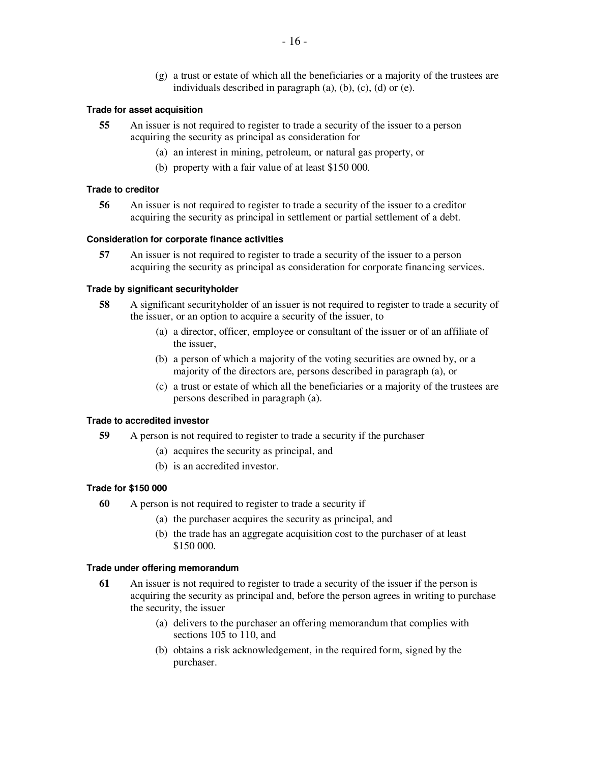(g) a trust or estate of which all the beneficiaries or a majority of the trustees are individuals described in paragraph  $(a)$ ,  $(b)$ ,  $(c)$ ,  $(d)$  or  $(e)$ .

#### **Trade for asset acquisition**

- **55** An issuer is not required to register to trade a security of the issuer to a person acquiring the security as principal as consideration for
	- (a) an interest in mining, petroleum, or natural gas property, or
	- (b) property with a fair value of at least \$150 000.

#### **Trade to creditor**

**56** An issuer is not required to register to trade a security of the issuer to a creditor acquiring the security as principal in settlement or partial settlement of a debt.

#### **Consideration for corporate finance activities**

**57** An issuer is not required to register to trade a security of the issuer to a person acquiring the security as principal as consideration for corporate financing services.

#### **Trade by significant securityholder**

- **58** A significant securityholder of an issuer is not required to register to trade a security of the issuer, or an option to acquire a security of the issuer, to
	- (a) a director, officer, employee or consultant of the issuer or of an affiliate of the issuer,
	- (b) a person of which a majority of the voting securities are owned by, or a majority of the directors are, persons described in paragraph (a), or
	- (c) a trust or estate of which all the beneficiaries or a majority of the trustees are persons described in paragraph (a).

#### **Trade to accredited investor**

- **59** A person is not required to register to trade a security if the purchaser
	- (a) acquires the security as principal, and
	- (b) is an accredited investor.

#### **Trade for \$150 000**

- **60** A person is not required to register to trade a security if
	- (a) the purchaser acquires the security as principal, and
	- (b) the trade has an aggregate acquisition cost to the purchaser of at least \$150 000.

#### **Trade under offering memorandum**

- **61** An issuer is not required to register to trade a security of the issuer if the person is acquiring the security as principal and, before the person agrees in writing to purchase the security, the issuer
	- (a) delivers to the purchaser an offering memorandum that complies with sections 105 to 110, and
	- (b) obtains a risk acknowledgement, in the required form, signed by the purchaser.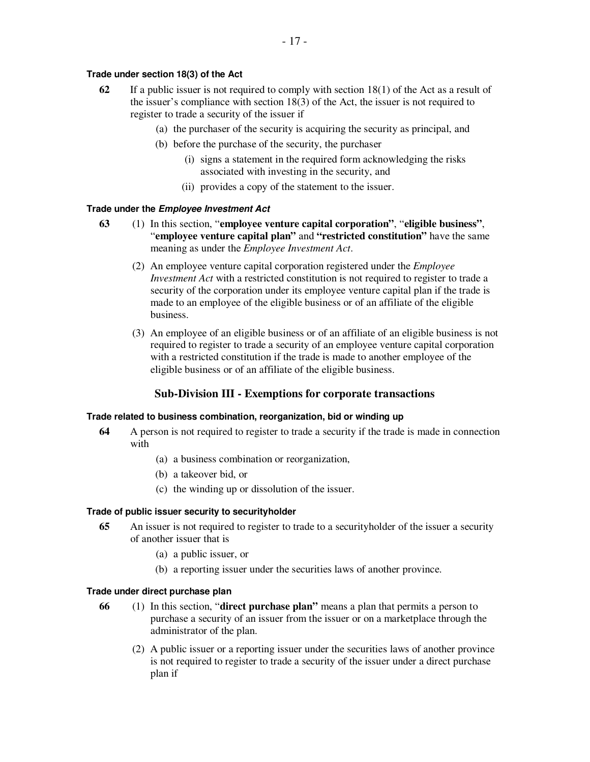# **Trade under section 18(3) of the Act**

- **62** If a public issuer is not required to comply with section 18(1) of the Act as a result of the issuer's compliance with section 18(3) of the Act, the issuer is not required to register to trade a security of the issuer if
	- (a) the purchaser of the security is acquiring the security as principal, and
	- (b) before the purchase of the security, the purchaser
		- (i) signs a statement in the required form acknowledging the risks associated with investing in the security, and
		- (ii) provides a copy of the statement to the issuer.

## **Trade under the** *Employee Investment Act*

- **63** (1) In this section, "**employee venture capital corporation"**, "**eligible business"**, "**employee venture capital plan"** and **"restricted constitution"** have the same meaning as under the *Employee Investment Act*.
	- (2) An employee venture capital corporation registered under the *Employee Investment Act* with a restricted constitution is not required to register to trade a security of the corporation under its employee venture capital plan if the trade is made to an employee of the eligible business or of an affiliate of the eligible business.
	- (3) An employee of an eligible business or of an affiliate of an eligible business is not required to register to trade a security of an employee venture capital corporation with a restricted constitution if the trade is made to another employee of the eligible business or of an affiliate of the eligible business.

# **Sub-Division III - Exemptions for corporate transactions**

## **Trade related to business combination, reorganization, bid or winding up**

- **64** A person is not required to register to trade a security if the trade is made in connection with
	- (a) a business combination or reorganization,
	- (b) a takeover bid, or
	- (c) the winding up or dissolution of the issuer.

## **Trade of public issuer security to securityholder**

- **65** An issuer is not required to register to trade to a securityholder of the issuer a security of another issuer that is
	- (a) a public issuer, or
	- (b) a reporting issuer under the securities laws of another province.

## **Trade under direct purchase plan**

- **66** (1) In this section, "**direct purchase plan"** means a plan that permits a person to purchase a security of an issuer from the issuer or on a marketplace through the administrator of the plan.
	- (2) A public issuer or a reporting issuer under the securities laws of another province is not required to register to trade a security of the issuer under a direct purchase plan if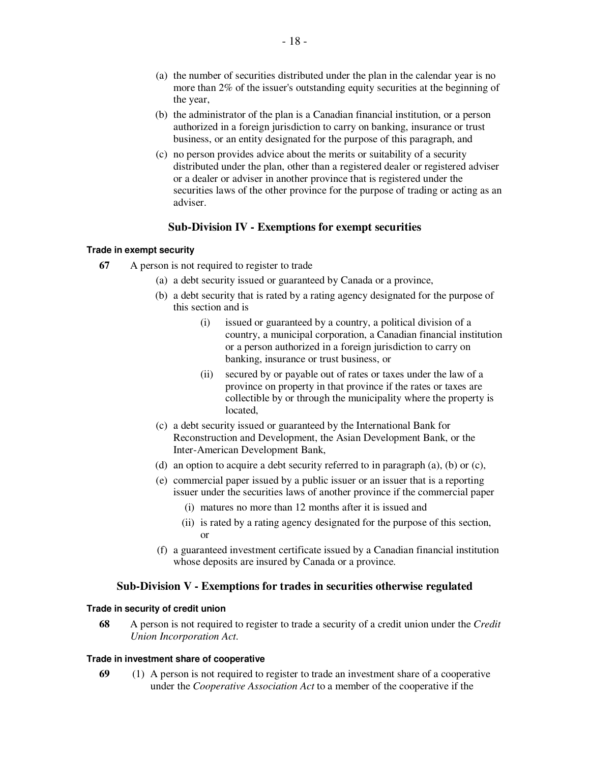- (a) the number of securities distributed under the plan in the calendar year is no more than 2% of the issuer's outstanding equity securities at the beginning of the year,
- (b) the administrator of the plan is a Canadian financial institution, or a person authorized in a foreign jurisdiction to carry on banking, insurance or trust business, or an entity designated for the purpose of this paragraph, and
- (c) no person provides advice about the merits or suitability of a security distributed under the plan, other than a registered dealer or registered adviser or a dealer or adviser in another province that is registered under the securities laws of the other province for the purpose of trading or acting as an adviser.

# **Sub-Division IV - Exemptions for exempt securities**

# **Trade in exempt security**

- **67** A person is not required to register to trade
	- (a) a debt security issued or guaranteed by Canada or a province,
	- (b) a debt security that is rated by a rating agency designated for the purpose of this section and is
		- (i) issued or guaranteed by a country, a political division of a country, a municipal corporation, a Canadian financial institution or a person authorized in a foreign jurisdiction to carry on banking, insurance or trust business, or
		- (ii) secured by or payable out of rates or taxes under the law of a province on property in that province if the rates or taxes are collectible by or through the municipality where the property is located,
	- (c) a debt security issued or guaranteed by the International Bank for Reconstruction and Development, the Asian Development Bank, or the Inter-American Development Bank,
	- (d) an option to acquire a debt security referred to in paragraph (a), (b) or (c),
	- (e) commercial paper issued by a public issuer or an issuer that is a reporting issuer under the securities laws of another province if the commercial paper
		- (i) matures no more than 12 months after it is issued and
		- (ii) is rated by a rating agency designated for the purpose of this section, or
	- (f) a guaranteed investment certificate issued by a Canadian financial institution whose deposits are insured by Canada or a province.

# **Sub-Division V - Exemptions for trades in securities otherwise regulated**

## **Trade in security of credit union**

**68** A person is not required to register to trade a security of a credit union under the *Credit Union Incorporation Act*.

## **Trade in investment share of cooperative**

**69** (1) A person is not required to register to trade an investment share of a cooperative under the *Cooperative Association Act* to a member of the cooperative if the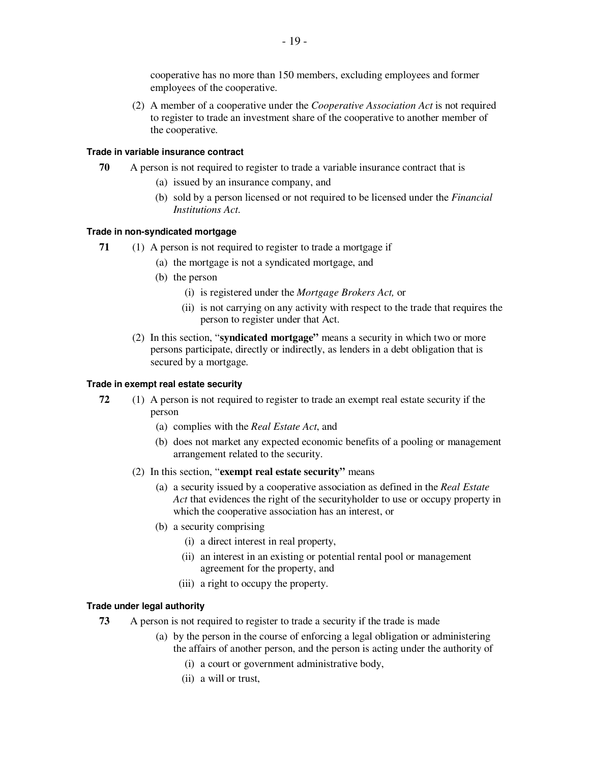cooperative has no more than 150 members, excluding employees and former employees of the cooperative.

(2) A member of a cooperative under the *Cooperative Association Act* is not required to register to trade an investment share of the cooperative to another member of the cooperative.

#### **Trade in variable insurance contract**

- **70** A person is not required to register to trade a variable insurance contract that is
	- (a) issued by an insurance company, and
	- (b) sold by a person licensed or not required to be licensed under the *Financial Institutions Act*.

# **Trade in non-syndicated mortgage**

- **71** (1) A person is not required to register to trade a mortgage if
	- (a) the mortgage is not a syndicated mortgage, and
	- (b) the person
		- (i) is registered under the *Mortgage Brokers Act,* or
		- (ii) is not carrying on any activity with respect to the trade that requires the person to register under that Act.
	- (2) In this section, "**syndicated mortgage"** means a security in which two or more persons participate, directly or indirectly, as lenders in a debt obligation that is secured by a mortgage.

## **Trade in exempt real estate security**

- **72** (1) A person is not required to register to trade an exempt real estate security if the person
	- (a) complies with the *Real Estate Act*, and
	- (b) does not market any expected economic benefits of a pooling or management arrangement related to the security.
	- (2) In this section, "**exempt real estate security"** means
		- (a) a security issued by a cooperative association as defined in the *Real Estate Act* that evidences the right of the securityholder to use or occupy property in which the cooperative association has an interest, or
		- (b) a security comprising
			- (i) a direct interest in real property,
			- (ii) an interest in an existing or potential rental pool or management agreement for the property, and
			- (iii) a right to occupy the property.

## **Trade under legal authority**

- **73** A person is not required to register to trade a security if the trade is made
	- (a) by the person in the course of enforcing a legal obligation or administering the affairs of another person, and the person is acting under the authority of
		- (i) a court or government administrative body,
		- (ii) a will or trust,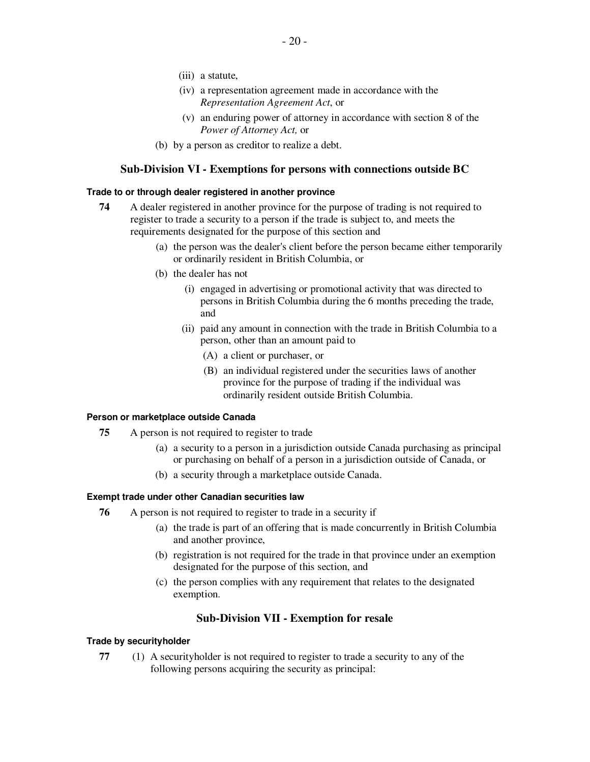- (iii) a statute,
- (iv) a representation agreement made in accordance with the *Representation Agreement Act*, or
- (v) an enduring power of attorney in accordance with section 8 of the *Power of Attorney Act,* or
- (b) by a person as creditor to realize a debt.

# **Sub-Division VI - Exemptions for persons with connections outside BC**

#### **Trade to or through dealer registered in another province**

- **74** A dealer registered in another province for the purpose of trading is not required to register to trade a security to a person if the trade is subject to, and meets the requirements designated for the purpose of this section and
	- (a) the person was the dealer's client before the person became either temporarily or ordinarily resident in British Columbia, or
	- (b) the dealer has not
		- (i) engaged in advertising or promotional activity that was directed to persons in British Columbia during the 6 months preceding the trade, and
		- (ii) paid any amount in connection with the trade in British Columbia to a person, other than an amount paid to
			- (A) a client or purchaser, or
			- (B) an individual registered under the securities laws of another province for the purpose of trading if the individual was ordinarily resident outside British Columbia.

#### **Person or marketplace outside Canada**

- **75** A person is not required to register to trade
	- (a) a security to a person in a jurisdiction outside Canada purchasing as principal or purchasing on behalf of a person in a jurisdiction outside of Canada, or
	- (b) a security through a marketplace outside Canada.

#### **Exempt trade under other Canadian securities law**

- **76** A person is not required to register to trade in a security if
	- (a) the trade is part of an offering that is made concurrently in British Columbia and another province,
	- (b) registration is not required for the trade in that province under an exemption designated for the purpose of this section, and
	- (c) the person complies with any requirement that relates to the designated exemption.

## **Sub-Division VII - Exemption for resale**

#### **Trade by securityholder**

**77** (1) A securityholder is not required to register to trade a security to any of the following persons acquiring the security as principal: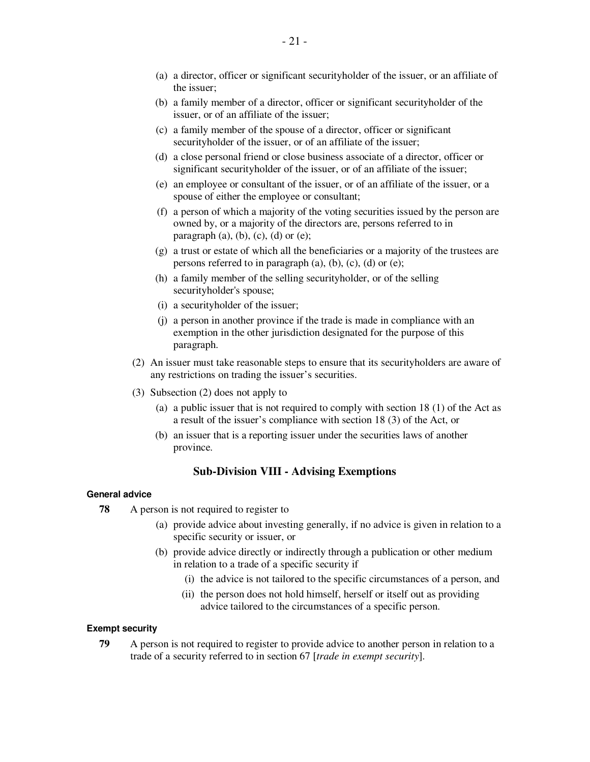- (a) a director, officer or significant securityholder of the issuer, or an affiliate of the issuer;
- (b) a family member of a director, officer or significant securityholder of the issuer, or of an affiliate of the issuer;
- (c) a family member of the spouse of a director, officer or significant securityholder of the issuer, or of an affiliate of the issuer;
- (d) a close personal friend or close business associate of a director, officer or significant securityholder of the issuer, or of an affiliate of the issuer;
- (e) an employee or consultant of the issuer, or of an affiliate of the issuer, or a spouse of either the employee or consultant;
- (f) a person of which a majority of the voting securities issued by the person are owned by, or a majority of the directors are, persons referred to in paragraph  $(a)$ ,  $(b)$ ,  $(c)$ ,  $(d)$  or  $(e)$ ;
- (g) a trust or estate of which all the beneficiaries or a majority of the trustees are persons referred to in paragraph (a), (b), (c), (d) or (e);
- (h) a family member of the selling securityholder, or of the selling securityholder's spouse;
- (i) a securityholder of the issuer;
- (j) a person in another province if the trade is made in compliance with an exemption in the other jurisdiction designated for the purpose of this paragraph.
- (2) An issuer must take reasonable steps to ensure that its securityholders are aware of any restrictions on trading the issuer's securities.
- (3) Subsection (2) does not apply to
	- (a) a public issuer that is not required to comply with section 18 (1) of the Act as a result of the issuer's compliance with section 18 (3) of the Act, or
	- (b) an issuer that is a reporting issuer under the securities laws of another province.

# **Sub-Division VIII - Advising Exemptions**

## **General advice**

- **78** A person is not required to register to
	- (a) provide advice about investing generally, if no advice is given in relation to a specific security or issuer, or
	- (b) provide advice directly or indirectly through a publication or other medium in relation to a trade of a specific security if
		- (i) the advice is not tailored to the specific circumstances of a person, and
		- (ii) the person does not hold himself, herself or itself out as providing advice tailored to the circumstances of a specific person.

## **Exempt security**

**79** A person is not required to register to provide advice to another person in relation to a trade of a security referred to in section 67 [*trade in exempt security*].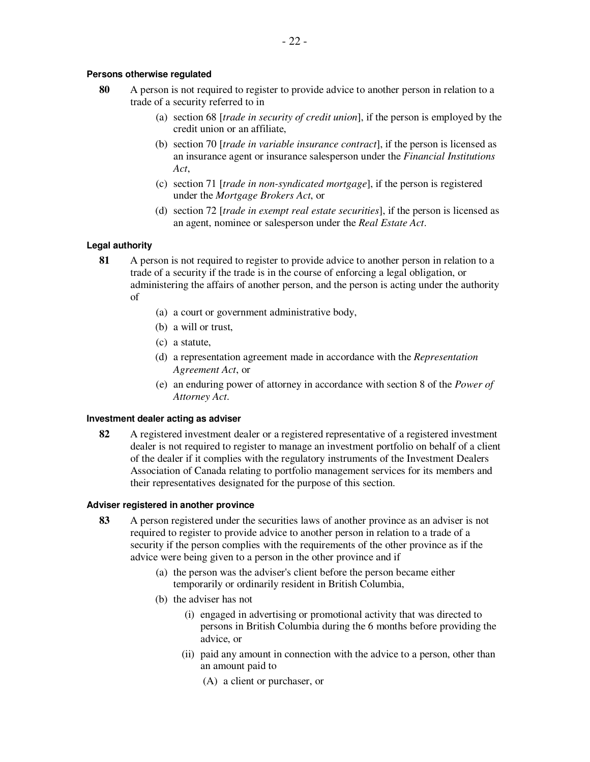# **Persons otherwise regulated**

- **80** A person is not required to register to provide advice to another person in relation to a trade of a security referred to in
	- (a) section 68 [*trade in security of credit union*], if the person is employed by the credit union or an affiliate,
	- (b) section 70 [*trade in variable insurance contract*], if the person is licensed as an insurance agent or insurance salesperson under the *Financial Institutions Act*,
	- (c) section 71 [*trade in non-syndicated mortgage*], if the person is registered under the *Mortgage Brokers Act*, or
	- (d) section 72 [*trade in exempt real estate securities*], if the person is licensed as an agent, nominee or salesperson under the *Real Estate Act*.

# **Legal authority**

- **81** A person is not required to register to provide advice to another person in relation to a trade of a security if the trade is in the course of enforcing a legal obligation, or administering the affairs of another person, and the person is acting under the authority of
	- (a) a court or government administrative body,
	- (b) a will or trust,
	- (c) a statute,
	- (d) a representation agreement made in accordance with the *Representation Agreement Act*, or
	- (e) an enduring power of attorney in accordance with section 8 of the *Power of Attorney Act*.

## **Investment dealer acting as adviser**

**82** A registered investment dealer or a registered representative of a registered investment dealer is not required to register to manage an investment portfolio on behalf of a client of the dealer if it complies with the regulatory instruments of the Investment Dealers Association of Canada relating to portfolio management services for its members and their representatives designated for the purpose of this section.

## **Adviser registered in another province**

- **83** A person registered under the securities laws of another province as an adviser is not required to register to provide advice to another person in relation to a trade of a security if the person complies with the requirements of the other province as if the advice were being given to a person in the other province and if
	- (a) the person was the adviser's client before the person became either temporarily or ordinarily resident in British Columbia,
	- (b) the adviser has not
		- (i) engaged in advertising or promotional activity that was directed to persons in British Columbia during the 6 months before providing the advice, or
		- (ii) paid any amount in connection with the advice to a person, other than an amount paid to
			- (A) a client or purchaser, or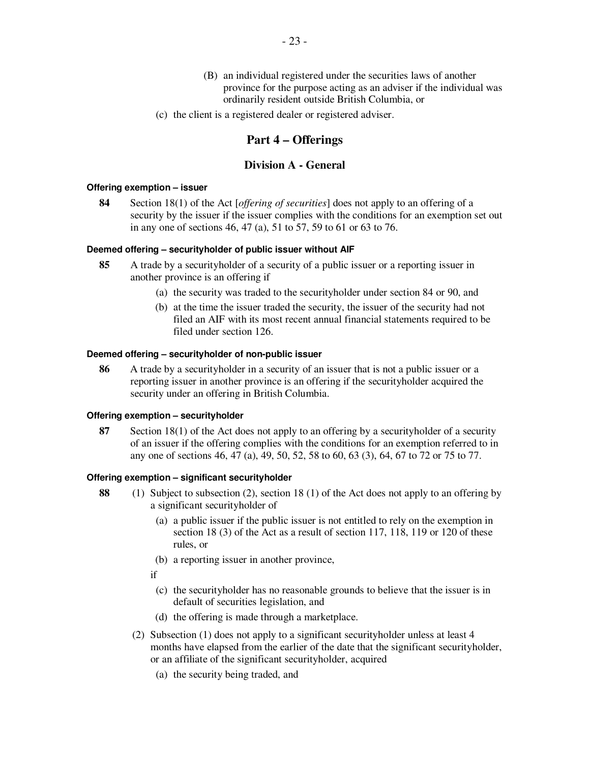- (B) an individual registered under the securities laws of another province for the purpose acting as an adviser if the individual was ordinarily resident outside British Columbia, or
- (c) the client is a registered dealer or registered adviser.

# **Part 4 – Offerings**

# **Division A - General**

#### **Offering exemption – issuer**

**84** Section 18(1) of the Act [*offering of securities*] does not apply to an offering of a security by the issuer if the issuer complies with the conditions for an exemption set out in any one of sections 46, 47 (a), 51 to 57, 59 to 61 or 63 to 76.

#### **Deemed offering – securityholder of public issuer without AIF**

- **85** A trade by a securityholder of a security of a public issuer or a reporting issuer in another province is an offering if
	- (a) the security was traded to the securityholder under section 84 or 90, and
	- (b) at the time the issuer traded the security, the issuer of the security had not filed an AIF with its most recent annual financial statements required to be filed under section 126.

## **Deemed offering – securityholder of non-public issuer**

**86** A trade by a securityholder in a security of an issuer that is not a public issuer or a reporting issuer in another province is an offering if the securityholder acquired the security under an offering in British Columbia.

#### **Offering exemption – securityholder**

**87** Section 18(1) of the Act does not apply to an offering by a securityholder of a security of an issuer if the offering complies with the conditions for an exemption referred to in any one of sections 46, 47 (a), 49, 50, 52, 58 to 60, 63 (3), 64, 67 to 72 or 75 to 77.

#### **Offering exemption – significant securityholder**

- **88** (1) Subject to subsection (2), section 18 (1) of the Act does not apply to an offering by a significant securityholder of
	- (a) a public issuer if the public issuer is not entitled to rely on the exemption in section 18 (3) of the Act as a result of section 117, 118, 119 or 120 of these rules, or
	- (b) a reporting issuer in another province,
	- if
		- (c) the securityholder has no reasonable grounds to believe that the issuer is in default of securities legislation, and
		- (d) the offering is made through a marketplace.
	- (2) Subsection (1) does not apply to a significant securityholder unless at least 4 months have elapsed from the earlier of the date that the significant securityholder, or an affiliate of the significant securityholder, acquired
		- (a) the security being traded, and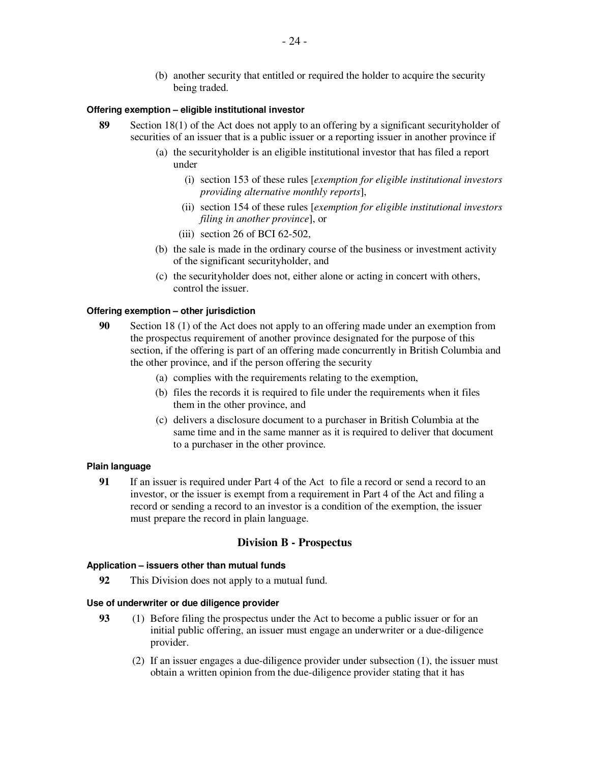(b) another security that entitled or required the holder to acquire the security being traded.

#### **Offering exemption – eligible institutional investor**

- **89** Section 18(1) of the Act does not apply to an offering by a significant securityholder of securities of an issuer that is a public issuer or a reporting issuer in another province if
	- (a) the securityholder is an eligible institutional investor that has filed a report under
		- (i) section 153 of these rules [*exemption for eligible institutional investors providing alternative monthly reports*],
		- (ii) section 154 of these rules [*exemption for eligible institutional investors filing in another province*], or
		- (iii) section 26 of BCI 62-502,
	- (b) the sale is made in the ordinary course of the business or investment activity of the significant securityholder, and
	- (c) the securityholder does not, either alone or acting in concert with others, control the issuer.

#### **Offering exemption – other jurisdiction**

- **90** Section 18 (1) of the Act does not apply to an offering made under an exemption from the prospectus requirement of another province designated for the purpose of this section, if the offering is part of an offering made concurrently in British Columbia and the other province, and if the person offering the security
	- (a) complies with the requirements relating to the exemption,
	- (b) files the records it is required to file under the requirements when it files them in the other province, and
	- (c) delivers a disclosure document to a purchaser in British Columbia at the same time and in the same manner as it is required to deliver that document to a purchaser in the other province.

#### **Plain language**

**91** If an issuer is required under Part 4 of the Act to file a record or send a record to an investor, or the issuer is exempt from a requirement in Part 4 of the Act and filing a record or sending a record to an investor is a condition of the exemption, the issuer must prepare the record in plain language.

#### **Division B - Prospectus**

#### **Application – issuers other than mutual funds**

**92** This Division does not apply to a mutual fund.

## **Use of underwriter or due diligence provider**

- **93** (1) Before filing the prospectus under the Act to become a public issuer or for an initial public offering, an issuer must engage an underwriter or a due-diligence provider.
	- (2) If an issuer engages a due-diligence provider under subsection (1), the issuer must obtain a written opinion from the due-diligence provider stating that it has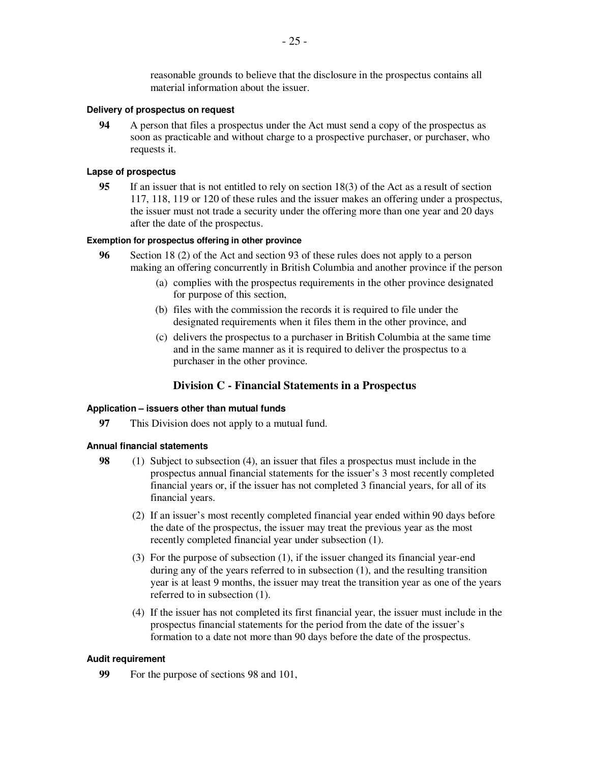reasonable grounds to believe that the disclosure in the prospectus contains all material information about the issuer.

#### **Delivery of prospectus on request**

**94** A person that files a prospectus under the Act must send a copy of the prospectus as soon as practicable and without charge to a prospective purchaser, or purchaser, who requests it.

#### **Lapse of prospectus**

**95** If an issuer that is not entitled to rely on section 18(3) of the Act as a result of section 117, 118, 119 or 120 of these rules and the issuer makes an offering under a prospectus, the issuer must not trade a security under the offering more than one year and 20 days after the date of the prospectus.

#### **Exemption for prospectus offering in other province**

- **96** Section 18 (2) of the Act and section 93 of these rules does not apply to a person making an offering concurrently in British Columbia and another province if the person
	- (a) complies with the prospectus requirements in the other province designated for purpose of this section,
	- (b) files with the commission the records it is required to file under the designated requirements when it files them in the other province, and
	- (c) delivers the prospectus to a purchaser in British Columbia at the same time and in the same manner as it is required to deliver the prospectus to a purchaser in the other province.

# **Division C - Financial Statements in a Prospectus**

#### **Application – issuers other than mutual funds**

**97** This Division does not apply to a mutual fund.

#### **Annual financial statements**

- **98** (1) Subject to subsection (4), an issuer that files a prospectus must include in the prospectus annual financial statements for the issuer's 3 most recently completed financial years or, if the issuer has not completed 3 financial years, for all of its financial years.
	- (2) If an issuer's most recently completed financial year ended within 90 days before the date of the prospectus, the issuer may treat the previous year as the most recently completed financial year under subsection (1).
	- (3) For the purpose of subsection (1), if the issuer changed its financial year-end during any of the years referred to in subsection (1), and the resulting transition year is at least 9 months, the issuer may treat the transition year as one of the years referred to in subsection (1).
	- (4) If the issuer has not completed its first financial year, the issuer must include in the prospectus financial statements for the period from the date of the issuer's formation to a date not more than 90 days before the date of the prospectus.

#### **Audit requirement**

**99** For the purpose of sections 98 and 101,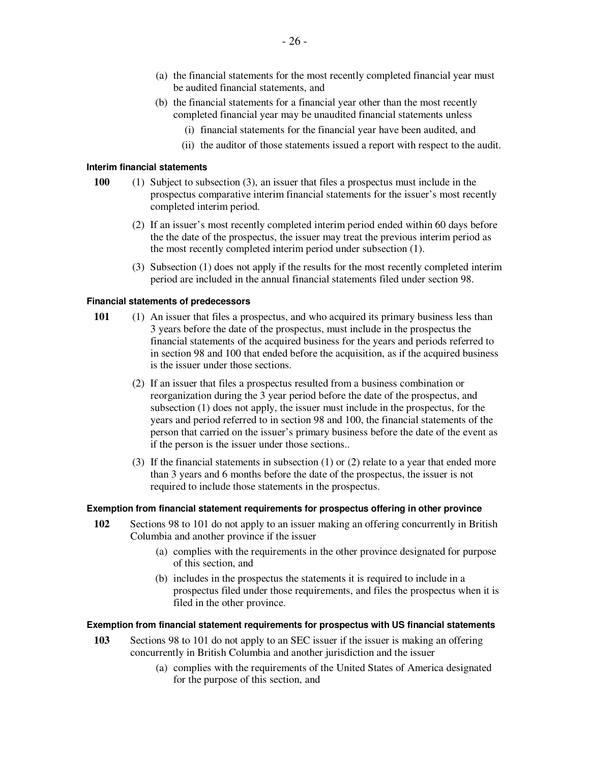- (a) the financial statements for the most recently completed financial year must be audited financial statements, and
- (b) the financial statements for a financial year other than the most recently completed financial year may be unaudited financial statements unless
	- (i) financial statements for the financial year have been audited, and
	- (ii) the auditor of those statements issued a report with respect to the audit.

#### **Interim financial statements**

- **100** (1) Subject to subsection (3), an issuer that files a prospectus must include in the prospectus comparative interim financial statements for the issuer's most recently completed interim period.
	- (2) If an issuer's most recently completed interim period ended within 60 days before the the date of the prospectus, the issuer may treat the previous interim period as the most recently completed interim period under subsection (1).
	- (3) Subsection (1) does not apply if the results for the most recently completed interim period are included in the annual financial statements filed under section 98.

## **Financial statements of predecessors**

- **101** (1) An issuer that files a prospectus, and who acquired its primary business less than 3 years before the date of the prospectus, must include in the prospectus the financial statements of the acquired business for the years and periods referred to in section 98 and 100 that ended before the acquisition, as if the acquired business is the issuer under those sections.
	- (2) If an issuer that files a prospectus resulted from a business combination or reorganization during the 3 year period before the date of the prospectus, and subsection (1) does not apply, the issuer must include in the prospectus, for the years and period referred to in section 98 and 100, the financial statements of the person that carried on the issuer's primary business before the date of the event as if the person is the issuer under those sections..
	- (3) If the financial statements in subsection (1) or (2) relate to a year that ended more than 3 years and 6 months before the date of the prospectus, the issuer is not required to include those statements in the prospectus.

#### **Exemption from financial statement requirements for prospectus offering in other province**

- **102** Sections 98 to 101 do not apply to an issuer making an offering concurrently in British Columbia and another province if the issuer
	- (a) complies with the requirements in the other province designated for purpose of this section, and
	- (b) includes in the prospectus the statements it is required to include in a prospectus filed under those requirements, and files the prospectus when it is filed in the other province.

#### **Exemption from financial statement requirements for prospectus with US financial statements**

- **103** Sections 98 to 101 do not apply to an SEC issuer if the issuer is making an offering concurrently in British Columbia and another jurisdiction and the issuer
	- (a) complies with the requirements of the United States of America designated for the purpose of this section, and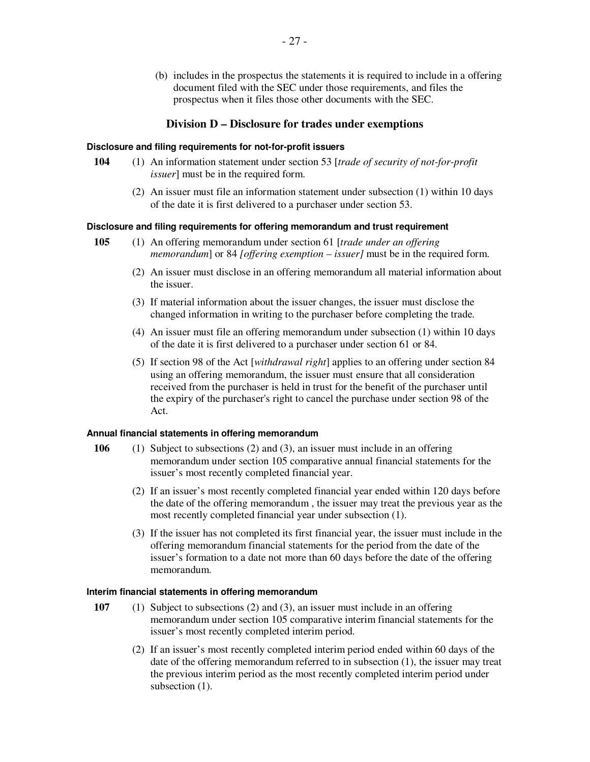(b) includes in the prospectus the statements it is required to include in a offering document filed with the SEC under those requirements, and files the prospectus when it files those other documents with the SEC.

# **Division D – Disclosure for trades under exemptions**

#### **Disclosure and filing requirements for not-for-profit issuers**

- **104** (1) An information statement under section 53 [*trade of security of not-for-profit issuer*] must be in the required form.
	- (2) An issuer must file an information statement under subsection (1) within 10 days of the date it is first delivered to a purchaser under section 53.

# **Disclosure and filing requirements for offering memorandum and trust requirement**

- **105** (1) An offering memorandum under section 61 [*trade under an offering memorandum*] or 84 *[offering exemption – issuer]* must be in the required form.
	- (2) An issuer must disclose in an offering memorandum all material information about the issuer.
	- (3) If material information about the issuer changes, the issuer must disclose the changed information in writing to the purchaser before completing the trade.
	- (4) An issuer must file an offering memorandum under subsection (1) within 10 days of the date it is first delivered to a purchaser under section 61 or 84.
	- (5) If section 98 of the Act [*withdrawal right*] applies to an offering under section 84 using an offering memorandum, the issuer must ensure that all consideration received from the purchaser is held in trust for the benefit of the purchaser until the expiry of the purchaser's right to cancel the purchase under section 98 of the Act.

## **Annual financial statements in offering memorandum**

- **106** (1) Subject to subsections (2) and (3), an issuer must include in an offering memorandum under section 105 comparative annual financial statements for the issuer's most recently completed financial year.
	- (2) If an issuer's most recently completed financial year ended within 120 days before the date of the offering memorandum , the issuer may treat the previous year as the most recently completed financial year under subsection (1).
	- (3) If the issuer has not completed its first financial year, the issuer must include in the offering memorandum financial statements for the period from the date of the issuer's formation to a date not more than 60 days before the date of the offering memorandum.

## **Interim financial statements in offering memorandum**

- **107** (1) Subject to subsections (2) and (3), an issuer must include in an offering memorandum under section 105 comparative interim financial statements for the issuer's most recently completed interim period.
	- (2) If an issuer's most recently completed interim period ended within 60 days of the date of the offering memorandum referred to in subsection (1), the issuer may treat the previous interim period as the most recently completed interim period under subsection  $(1)$ .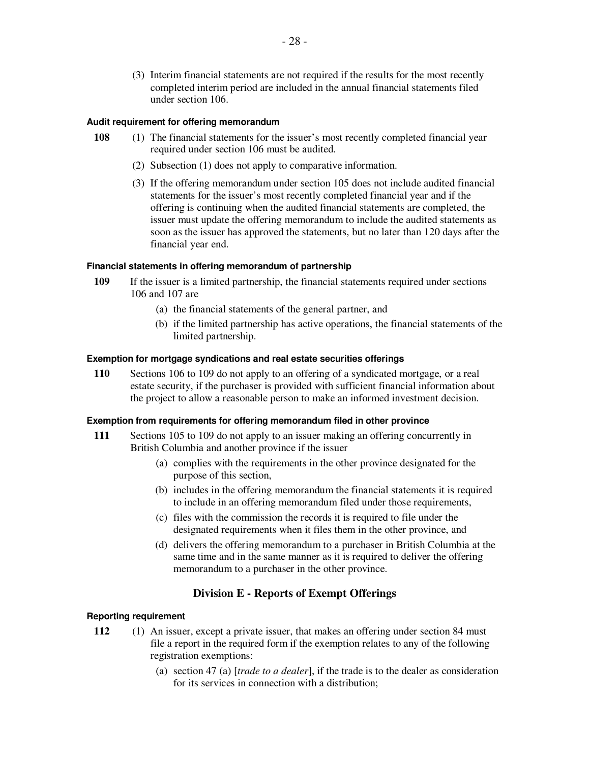(3) Interim financial statements are not required if the results for the most recently completed interim period are included in the annual financial statements filed under section 106.

## **Audit requirement for offering memorandum**

- **108** (1) The financial statements for the issuer's most recently completed financial year required under section 106 must be audited.
	- (2) Subsection (1) does not apply to comparative information.
	- (3) If the offering memorandum under section 105 does not include audited financial statements for the issuer's most recently completed financial year and if the offering is continuing when the audited financial statements are completed, the issuer must update the offering memorandum to include the audited statements as soon as the issuer has approved the statements, but no later than 120 days after the financial year end.

# **Financial statements in offering memorandum of partnership**

- **109** If the issuer is a limited partnership, the financial statements required under sections 106 and 107 are
	- (a) the financial statements of the general partner, and
	- (b) if the limited partnership has active operations, the financial statements of the limited partnership.

## **Exemption for mortgage syndications and real estate securities offerings**

**110** Sections 106 to 109 do not apply to an offering of a syndicated mortgage, or a real estate security, if the purchaser is provided with sufficient financial information about the project to allow a reasonable person to make an informed investment decision.

## **Exemption from requirements for offering memorandum filed in other province**

- **111** Sections 105 to 109 do not apply to an issuer making an offering concurrently in British Columbia and another province if the issuer
	- (a) complies with the requirements in the other province designated for the purpose of this section,
	- (b) includes in the offering memorandum the financial statements it is required to include in an offering memorandum filed under those requirements,
	- (c) files with the commission the records it is required to file under the designated requirements when it files them in the other province, and
	- (d) delivers the offering memorandum to a purchaser in British Columbia at the same time and in the same manner as it is required to deliver the offering memorandum to a purchaser in the other province.

# **Division E - Reports of Exempt Offerings**

## **Reporting requirement**

- **112** (1) An issuer, except a private issuer, that makes an offering under section 84 must file a report in the required form if the exemption relates to any of the following registration exemptions:
	- (a) section 47 (a) [*trade to a dealer*], if the trade is to the dealer as consideration for its services in connection with a distribution;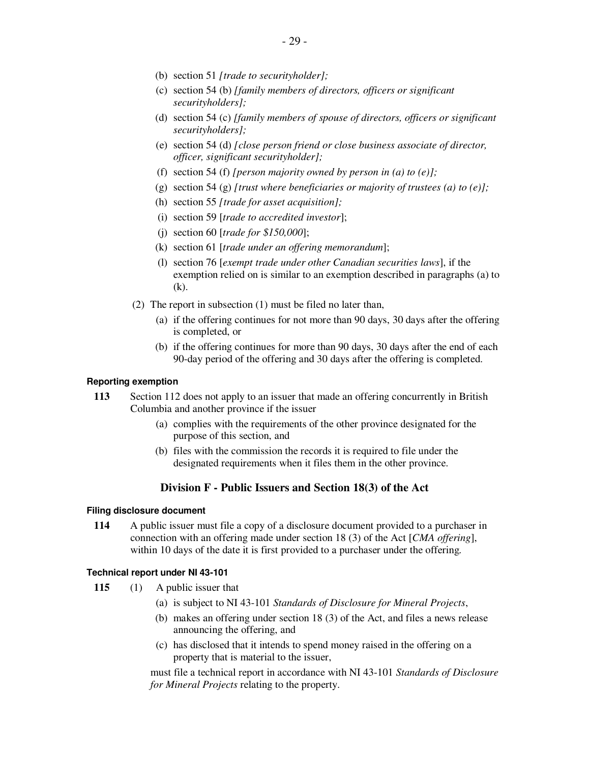- (b) section 51 *[trade to securityholder];*
- (c) section 54 (b) *[family members of directors, officers or significant securityholders];*
- (d) section 54 (c) *[family members of spouse of directors, officers or significant securityholders];*
- (e) section 54 (d) *[close person friend or close business associate of director, officer, significant securityholder];*
- (f) section 54 (f) *[person majority owned by person in (a) to (e)];*
- (g) section 54 (g) *[trust where beneficiaries or majority of trustees (a) to (e)];*
- (h) section 55 *[trade for asset acquisition];*
- (i) section 59 [*trade to accredited investor*];
- (j) section 60 [*trade for \$150,000*];
- (k) section 61 [*trade under an offering memorandum*];
- (l) section 76 [*exempt trade under other Canadian securities laws*], if the exemption relied on is similar to an exemption described in paragraphs (a) to (k).
- (2) The report in subsection (1) must be filed no later than,
	- (a) if the offering continues for not more than 90 days, 30 days after the offering is completed, or
	- (b) if the offering continues for more than 90 days, 30 days after the end of each 90-day period of the offering and 30 days after the offering is completed.

#### **Reporting exemption**

- **113** Section 112 does not apply to an issuer that made an offering concurrently in British Columbia and another province if the issuer
	- (a) complies with the requirements of the other province designated for the purpose of this section, and
	- (b) files with the commission the records it is required to file under the designated requirements when it files them in the other province.

# **Division F - Public Issuers and Section 18(3) of the Act**

#### **Filing disclosure document**

**114** A public issuer must file a copy of a disclosure document provided to a purchaser in connection with an offering made under section 18 (3) of the Act [*CMA offering*], within 10 days of the date it is first provided to a purchaser under the offering*.*

#### **Technical report under NI 43-101**

- **115** (1) A public issuer that
	- (a) is subject to NI 43-101 *Standards of Disclosure for Mineral Projects*,
	- (b) makes an offering under section 18 (3) of the Act, and files a news release announcing the offering, and
	- (c) has disclosed that it intends to spend money raised in the offering on a property that is material to the issuer,

must file a technical report in accordance with NI 43-101 *Standards of Disclosure for Mineral Projects* relating to the property.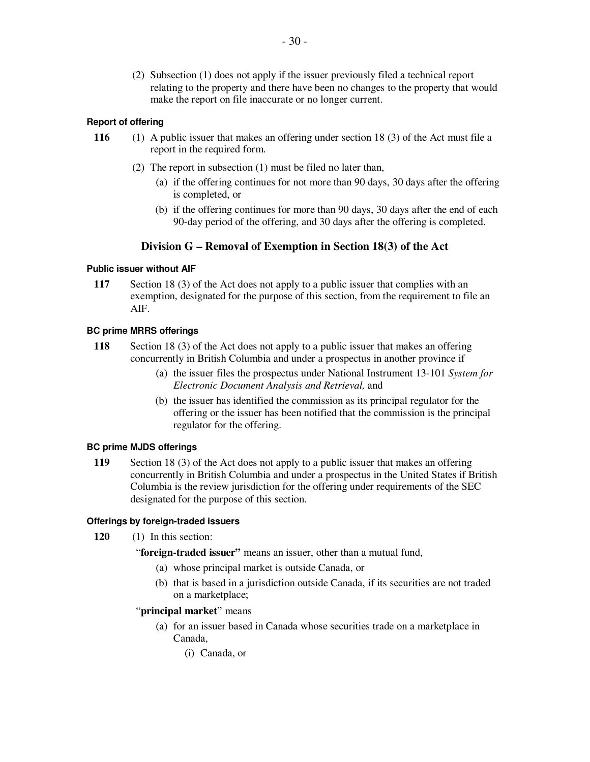(2) Subsection (1) does not apply if the issuer previously filed a technical report relating to the property and there have been no changes to the property that would make the report on file inaccurate or no longer current.

# **Report of offering**

- **116** (1) A public issuer that makes an offering under section 18 (3) of the Act must file a report in the required form.
	- (2) The report in subsection (1) must be filed no later than,
		- (a) if the offering continues for not more than 90 days, 30 days after the offering is completed, or
		- (b) if the offering continues for more than 90 days, 30 days after the end of each 90-day period of the offering, and 30 days after the offering is completed.

# **Division G – Removal of Exemption in Section 18(3) of the Act**

## **Public issuer without AIF**

**117** Section 18 (3) of the Act does not apply to a public issuer that complies with an exemption, designated for the purpose of this section, from the requirement to file an AIF.

## **BC prime MRRS offerings**

- **118** Section 18 (3) of the Act does not apply to a public issuer that makes an offering concurrently in British Columbia and under a prospectus in another province if
	- (a) the issuer files the prospectus under National Instrument 13-101 *System for Electronic Document Analysis and Retrieval,* and
	- (b) the issuer has identified the commission as its principal regulator for the offering or the issuer has been notified that the commission is the principal regulator for the offering.

#### **BC prime MJDS offerings**

**119** Section 18 (3) of the Act does not apply to a public issuer that makes an offering concurrently in British Columbia and under a prospectus in the United States if British Columbia is the review jurisdiction for the offering under requirements of the SEC designated for the purpose of this section.

#### **Offerings by foreign-traded issuers**

- **120** (1) In this section:
	- "**foreign-traded issuer"** means an issuer, other than a mutual fund,
		- (a) whose principal market is outside Canada, or
		- (b) that is based in a jurisdiction outside Canada, if its securities are not traded on a marketplace;

#### "**principal market**" means

- (a) for an issuer based in Canada whose securities trade on a marketplace in Canada,
	- (i) Canada, or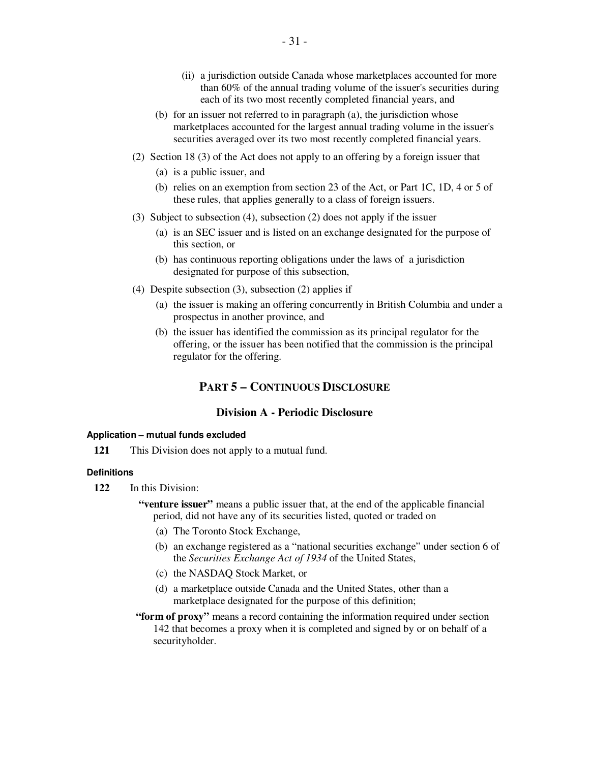- (ii) a jurisdiction outside Canada whose marketplaces accounted for more than 60% of the annual trading volume of the issuer's securities during each of its two most recently completed financial years, and
- (b) for an issuer not referred to in paragraph (a), the jurisdiction whose marketplaces accounted for the largest annual trading volume in the issuer's securities averaged over its two most recently completed financial years.
- (2) Section 18 (3) of the Act does not apply to an offering by a foreign issuer that
	- (a) is a public issuer, and
	- (b) relies on an exemption from section 23 of the Act, or Part 1C, 1D, 4 or 5 of these rules, that applies generally to a class of foreign issuers.
- (3) Subject to subsection (4), subsection (2) does not apply if the issuer
	- (a) is an SEC issuer and is listed on an exchange designated for the purpose of this section, or
	- (b) has continuous reporting obligations under the laws of a jurisdiction designated for purpose of this subsection,
- (4) Despite subsection (3), subsection (2) applies if
	- (a) the issuer is making an offering concurrently in British Columbia and under a prospectus in another province, and
	- (b) the issuer has identified the commission as its principal regulator for the offering, or the issuer has been notified that the commission is the principal regulator for the offering.

# **PART 5 – CONTINUOUS DISCLOSURE**

# **Division A - Periodic Disclosure**

#### **Application – mutual funds excluded**

**121** This Division does not apply to a mutual fund.

#### **Definitions**

- **122** In this Division:
	- **"venture issuer"** means a public issuer that, at the end of the applicable financial period, did not have any of its securities listed, quoted or traded on
		- (a) The Toronto Stock Exchange,
		- (b) an exchange registered as a "national securities exchange" under section 6 of the *Securities Exchange Act of 1934* of the United States,
		- (c) the NASDAQ Stock Market, or
		- (d) a marketplace outside Canada and the United States, other than a marketplace designated for the purpose of this definition;
	- **"form of proxy"** means a record containing the information required under section 142 that becomes a proxy when it is completed and signed by or on behalf of a securityholder.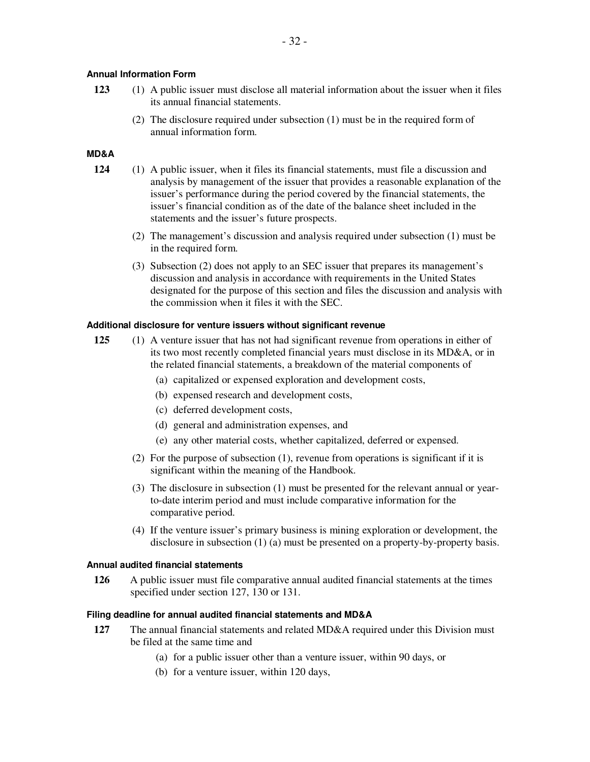# **Annual Information Form**

- **123** (1) A public issuer must disclose all material information about the issuer when it files its annual financial statements.
	- (2) The disclosure required under subsection (1) must be in the required form of annual information form.

# **MD&A**

- **124** (1) A public issuer, when it files its financial statements, must file a discussion and analysis by management of the issuer that provides a reasonable explanation of the issuer's performance during the period covered by the financial statements, the issuer's financial condition as of the date of the balance sheet included in the statements and the issuer's future prospects.
	- (2) The management's discussion and analysis required under subsection (1) must be in the required form.
	- (3) Subsection (2) does not apply to an SEC issuer that prepares its management's discussion and analysis in accordance with requirements in the United States designated for the purpose of this section and files the discussion and analysis with the commission when it files it with the SEC.

## **Additional disclosure for venture issuers without significant revenue**

- **125** (1) A venture issuer that has not had significant revenue from operations in either of its two most recently completed financial years must disclose in its MD&A, or in the related financial statements, a breakdown of the material components of
	- (a) capitalized or expensed exploration and development costs,
	- (b) expensed research and development costs,
	- (c) deferred development costs,
	- (d) general and administration expenses, and
	- (e) any other material costs, whether capitalized, deferred or expensed.
	- (2) For the purpose of subsection (1), revenue from operations is significant if it is significant within the meaning of the Handbook.
	- (3) The disclosure in subsection (1) must be presented for the relevant annual or yearto-date interim period and must include comparative information for the comparative period.
	- (4) If the venture issuer's primary business is mining exploration or development, the disclosure in subsection (1) (a) must be presented on a property-by-property basis.

## **Annual audited financial statements**

**126** A public issuer must file comparative annual audited financial statements at the times specified under section 127, 130 or 131.

#### **Filing deadline for annual audited financial statements and MD&A**

- **127** The annual financial statements and related MD&A required under this Division must be filed at the same time and
	- (a) for a public issuer other than a venture issuer, within 90 days, or
	- (b) for a venture issuer, within 120 days,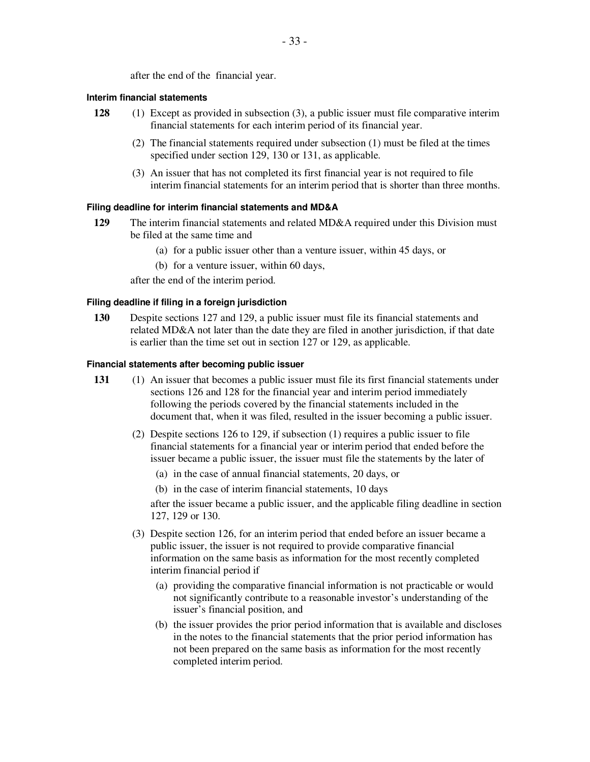after the end of the financial year.

#### **Interim financial statements**

- **128** (1) Except as provided in subsection (3), a public issuer must file comparative interim financial statements for each interim period of its financial year.
	- (2) The financial statements required under subsection (1) must be filed at the times specified under section 129, 130 or 131, as applicable.
	- (3) An issuer that has not completed its first financial year is not required to file interim financial statements for an interim period that is shorter than three months.

#### **Filing deadline for interim financial statements and MD&A**

- **129** The interim financial statements and related MD&A required under this Division must be filed at the same time and
	- (a) for a public issuer other than a venture issuer, within 45 days, or
	- (b) for a venture issuer, within 60 days,

after the end of the interim period.

## **Filing deadline if filing in a foreign jurisdiction**

**130** Despite sections 127 and 129, a public issuer must file its financial statements and related MD&A not later than the date they are filed in another jurisdiction, if that date is earlier than the time set out in section 127 or 129, as applicable.

#### **Financial statements after becoming public issuer**

- **131** (1) An issuer that becomes a public issuer must file its first financial statements under sections 126 and 128 for the financial year and interim period immediately following the periods covered by the financial statements included in the document that, when it was filed, resulted in the issuer becoming a public issuer.
	- (2) Despite sections 126 to 129, if subsection (1) requires a public issuer to file financial statements for a financial year or interim period that ended before the issuer became a public issuer, the issuer must file the statements by the later of
		- (a) in the case of annual financial statements, 20 days, or
		- (b) in the case of interim financial statements, 10 days

after the issuer became a public issuer, and the applicable filing deadline in section 127, 129 or 130.

- (3) Despite section 126, for an interim period that ended before an issuer became a public issuer, the issuer is not required to provide comparative financial information on the same basis as information for the most recently completed interim financial period if
	- (a) providing the comparative financial information is not practicable or would not significantly contribute to a reasonable investor's understanding of the issuer's financial position, and
	- (b) the issuer provides the prior period information that is available and discloses in the notes to the financial statements that the prior period information has not been prepared on the same basis as information for the most recently completed interim period.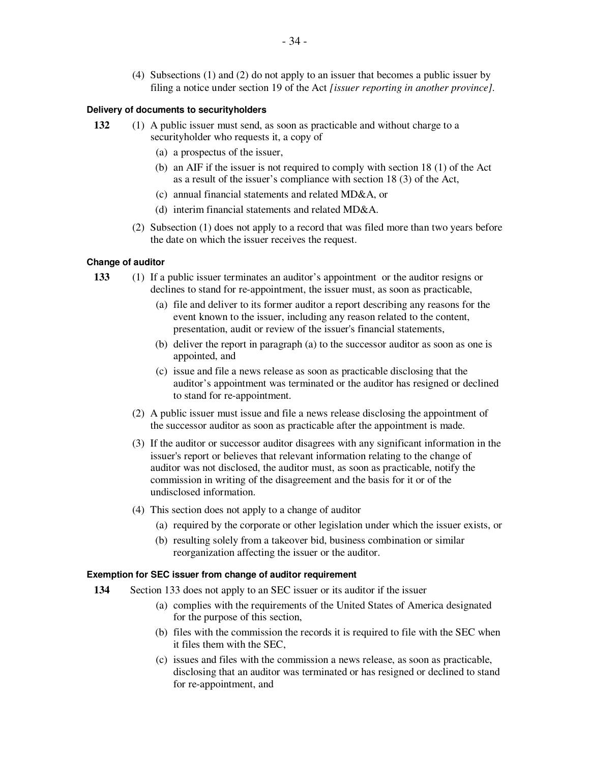(4) Subsections (1) and (2) do not apply to an issuer that becomes a public issuer by filing a notice under section 19 of the Act *[issuer reporting in another province]*.

#### **Delivery of documents to securityholders**

- **132** (1) A public issuer must send, as soon as practicable and without charge to a securityholder who requests it, a copy of
	- (a) a prospectus of the issuer,
	- (b) an AIF if the issuer is not required to comply with section 18 (1) of the Act as a result of the issuer's compliance with section 18 (3) of the Act,
	- (c) annual financial statements and related MD&A, or
	- (d) interim financial statements and related MD&A.
	- (2) Subsection (1) does not apply to a record that was filed more than two years before the date on which the issuer receives the request.

#### **Change of auditor**

- **133** (1) If a public issuer terminates an auditor's appointment or the auditor resigns or declines to stand for re-appointment, the issuer must, as soon as practicable,
	- (a) file and deliver to its former auditor a report describing any reasons for the event known to the issuer, including any reason related to the content, presentation, audit or review of the issuer's financial statements,
	- (b) deliver the report in paragraph (a) to the successor auditor as soon as one is appointed, and
	- (c) issue and file a news release as soon as practicable disclosing that the auditor's appointment was terminated or the auditor has resigned or declined to stand for re-appointment.
	- (2) A public issuer must issue and file a news release disclosing the appointment of the successor auditor as soon as practicable after the appointment is made.
	- (3) If the auditor or successor auditor disagrees with any significant information in the issuer's report or believes that relevant information relating to the change of auditor was not disclosed, the auditor must, as soon as practicable, notify the commission in writing of the disagreement and the basis for it or of the undisclosed information.
	- (4) This section does not apply to a change of auditor
		- (a) required by the corporate or other legislation under which the issuer exists, or
		- (b) resulting solely from a takeover bid, business combination or similar reorganization affecting the issuer or the auditor.

## **Exemption for SEC issuer from change of auditor requirement**

- **134** Section 133 does not apply to an SEC issuer or its auditor if the issuer
	- (a) complies with the requirements of the United States of America designated for the purpose of this section,
	- (b) files with the commission the records it is required to file with the SEC when it files them with the SEC,
	- (c) issues and files with the commission a news release, as soon as practicable, disclosing that an auditor was terminated or has resigned or declined to stand for re-appointment, and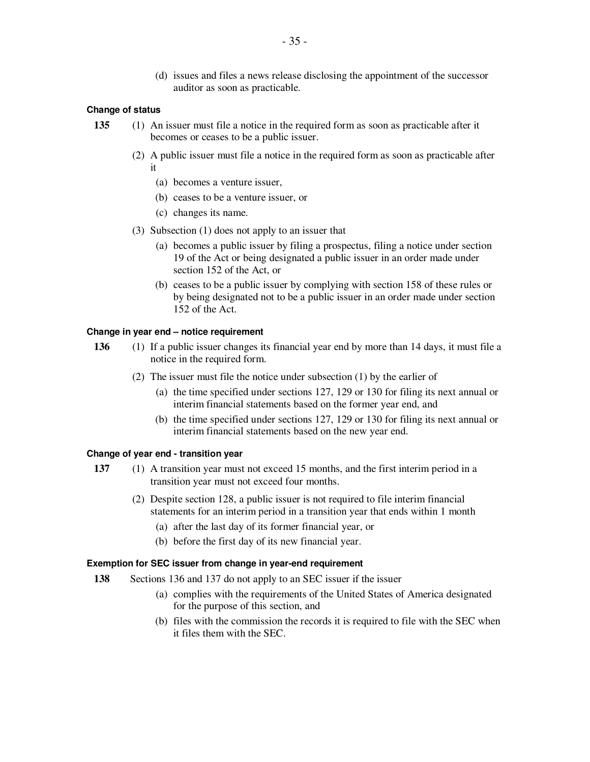(d) issues and files a news release disclosing the appointment of the successor auditor as soon as practicable.

#### **Change of status**

- **135** (1) An issuer must file a notice in the required form as soon as practicable after it becomes or ceases to be a public issuer.
	- (2) A public issuer must file a notice in the required form as soon as practicable after it
		- (a) becomes a venture issuer,
		- (b) ceases to be a venture issuer, or
		- (c) changes its name.
	- (3) Subsection (1) does not apply to an issuer that
		- (a) becomes a public issuer by filing a prospectus, filing a notice under section 19 of the Act or being designated a public issuer in an order made under section 152 of the Act, or
		- (b) ceases to be a public issuer by complying with section 158 of these rules or by being designated not to be a public issuer in an order made under section 152 of the Act.

## **Change in year end – notice requirement**

- **136** (1) If a public issuer changes its financial year end by more than 14 days, it must file a notice in the required form.
	- (2) The issuer must file the notice under subsection (1) by the earlier of
		- (a) the time specified under sections 127, 129 or 130 for filing its next annual or interim financial statements based on the former year end, and
		- (b) the time specified under sections 127, 129 or 130 for filing its next annual or interim financial statements based on the new year end.

#### **Change of year end - transition year**

- **137** (1) A transition year must not exceed 15 months, and the first interim period in a transition year must not exceed four months.
	- (2) Despite section 128, a public issuer is not required to file interim financial statements for an interim period in a transition year that ends within 1 month
		- (a) after the last day of its former financial year, or
		- (b) before the first day of its new financial year.

## **Exemption for SEC issuer from change in year-end requirement**

- **138** Sections 136 and 137 do not apply to an SEC issuer if the issuer
	- (a) complies with the requirements of the United States of America designated for the purpose of this section, and
	- (b) files with the commission the records it is required to file with the SEC when it files them with the SEC.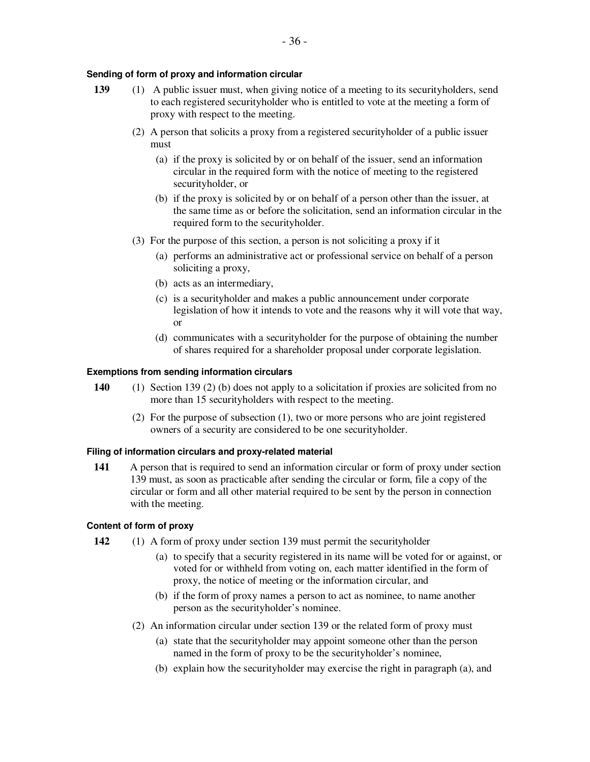## **Sending of form of proxy and information circular**

- **139** (1) A public issuer must, when giving notice of a meeting to its securityholders, send to each registered securityholder who is entitled to vote at the meeting a form of proxy with respect to the meeting.
	- (2) A person that solicits a proxy from a registered securityholder of a public issuer must
		- (a) if the proxy is solicited by or on behalf of the issuer, send an information circular in the required form with the notice of meeting to the registered securityholder, or
		- (b) if the proxy is solicited by or on behalf of a person other than the issuer, at the same time as or before the solicitation, send an information circular in the required form to the securityholder.
	- (3) For the purpose of this section, a person is not soliciting a proxy if it
		- (a) performs an administrative act or professional service on behalf of a person soliciting a proxy,
		- (b) acts as an intermediary,
		- (c) is a securityholder and makes a public announcement under corporate legislation of how it intends to vote and the reasons why it will vote that way, or
		- (d) communicates with a securityholder for the purpose of obtaining the number of shares required for a shareholder proposal under corporate legislation.

## **Exemptions from sending information circulars**

- **140** (1) Section 139 (2) (b) does not apply to a solicitation if proxies are solicited from no more than 15 securityholders with respect to the meeting.
	- (2) For the purpose of subsection (1), two or more persons who are joint registered owners of a security are considered to be one securityholder.

## **Filing of information circulars and proxy-related material**

**141** A person that is required to send an information circular or form of proxy under section 139 must, as soon as practicable after sending the circular or form, file a copy of the circular or form and all other material required to be sent by the person in connection with the meeting.

## **Content of form of proxy**

- **142** (1) A form of proxy under section 139 must permit the securityholder
	- (a) to specify that a security registered in its name will be voted for or against, or voted for or withheld from voting on, each matter identified in the form of proxy, the notice of meeting or the information circular, and
	- (b) if the form of proxy names a person to act as nominee, to name another person as the securityholder's nominee.
	- (2) An information circular under section 139 or the related form of proxy must
		- (a) state that the securityholder may appoint someone other than the person named in the form of proxy to be the securityholder's nominee,
		- (b) explain how the securityholder may exercise the right in paragraph (a), and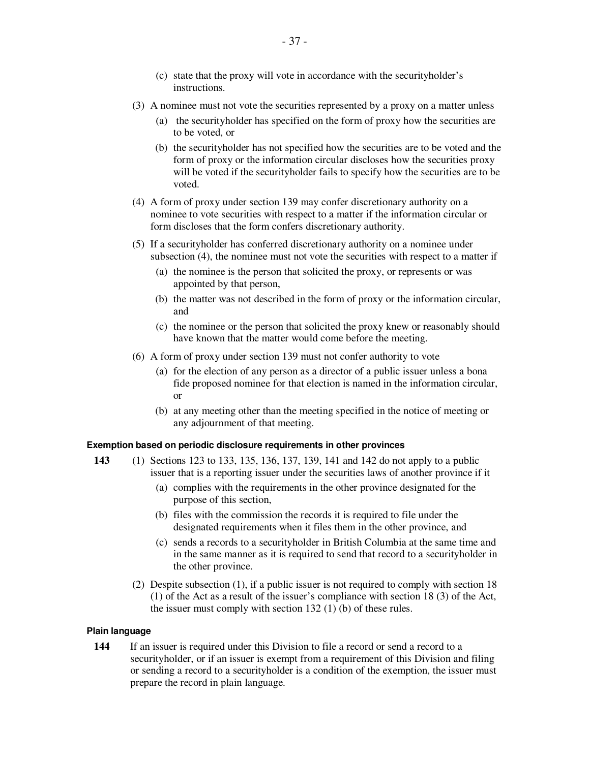- (3) A nominee must not vote the securities represented by a proxy on a matter unless
	- (a) the securityholder has specified on the form of proxy how the securities are to be voted, or
	- (b) the securityholder has not specified how the securities are to be voted and the form of proxy or the information circular discloses how the securities proxy will be voted if the securityholder fails to specify how the securities are to be voted.
- (4) A form of proxy under section 139 may confer discretionary authority on a nominee to vote securities with respect to a matter if the information circular or form discloses that the form confers discretionary authority.
- (5) If a securityholder has conferred discretionary authority on a nominee under subsection (4), the nominee must not vote the securities with respect to a matter if
	- (a) the nominee is the person that solicited the proxy, or represents or was appointed by that person,
	- (b) the matter was not described in the form of proxy or the information circular, and
	- (c) the nominee or the person that solicited the proxy knew or reasonably should have known that the matter would come before the meeting.
- (6) A form of proxy under section 139 must not confer authority to vote
	- (a) for the election of any person as a director of a public issuer unless a bona fide proposed nominee for that election is named in the information circular, or
	- (b) at any meeting other than the meeting specified in the notice of meeting or any adjournment of that meeting.

## **Exemption based on periodic disclosure requirements in other provinces**

- **143** (1) Sections 123 to 133, 135, 136, 137, 139, 141 and 142 do not apply to a public issuer that is a reporting issuer under the securities laws of another province if it
	- (a) complies with the requirements in the other province designated for the purpose of this section,
	- (b) files with the commission the records it is required to file under the designated requirements when it files them in the other province, and
	- (c) sends a records to a securityholder in British Columbia at the same time and in the same manner as it is required to send that record to a securityholder in the other province.
	- (2) Despite subsection (1), if a public issuer is not required to comply with section 18 (1) of the Act as a result of the issuer's compliance with section 18 (3) of the Act, the issuer must comply with section 132 (1) (b) of these rules.

## **Plain language**

**144** If an issuer is required under this Division to file a record or send a record to a securityholder, or if an issuer is exempt from a requirement of this Division and filing or sending a record to a securityholder is a condition of the exemption, the issuer must prepare the record in plain language.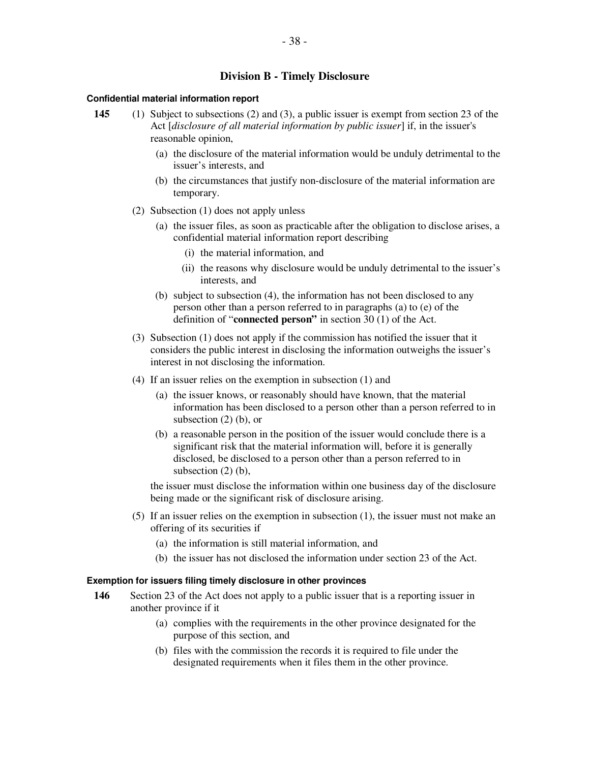# **Division B - Timely Disclosure**

#### **Confidential material information report**

- **145** (1) Subject to subsections (2) and (3), a public issuer is exempt from section 23 of the Act [*disclosure of all material information by public issuer*] if, in the issuer's reasonable opinion,
	- (a) the disclosure of the material information would be unduly detrimental to the issuer's interests, and
	- (b) the circumstances that justify non-disclosure of the material information are temporary.
	- (2) Subsection (1) does not apply unless
		- (a) the issuer files, as soon as practicable after the obligation to disclose arises, a confidential material information report describing
			- (i) the material information, and
			- (ii) the reasons why disclosure would be unduly detrimental to the issuer's interests, and
		- (b) subject to subsection (4), the information has not been disclosed to any person other than a person referred to in paragraphs (a) to (e) of the definition of "**connected person"** in section 30 (1) of the Act.
	- (3) Subsection (1) does not apply if the commission has notified the issuer that it considers the public interest in disclosing the information outweighs the issuer's interest in not disclosing the information.
	- (4) If an issuer relies on the exemption in subsection (1) and
		- (a) the issuer knows, or reasonably should have known, that the material information has been disclosed to a person other than a person referred to in subsection (2) (b), or
		- (b) a reasonable person in the position of the issuer would conclude there is a significant risk that the material information will, before it is generally disclosed, be disclosed to a person other than a person referred to in subsection (2) (b),

the issuer must disclose the information within one business day of the disclosure being made or the significant risk of disclosure arising.

- (5) If an issuer relies on the exemption in subsection (1), the issuer must not make an offering of its securities if
	- (a) the information is still material information, and
	- (b) the issuer has not disclosed the information under section 23 of the Act.

#### **Exemption for issuers filing timely disclosure in other provinces**

- **146** Section 23 of the Act does not apply to a public issuer that is a reporting issuer in another province if it
	- (a) complies with the requirements in the other province designated for the purpose of this section, and
	- (b) files with the commission the records it is required to file under the designated requirements when it files them in the other province.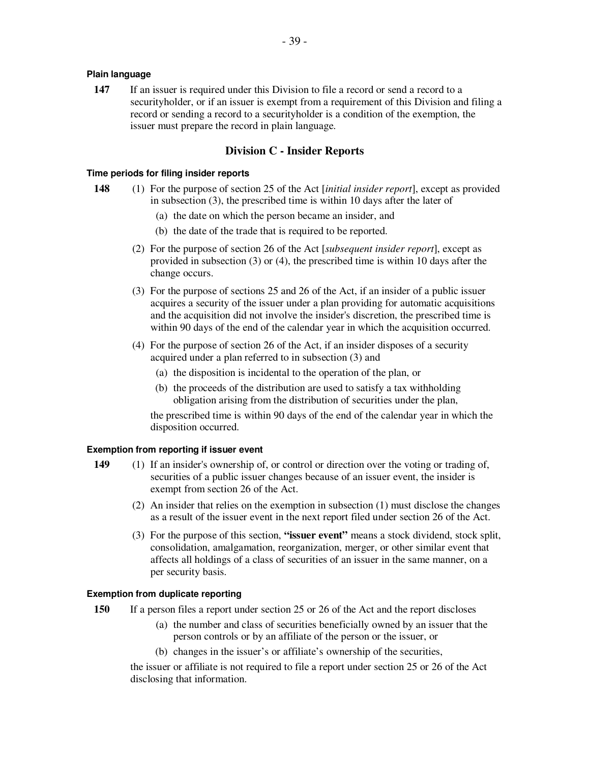# **Plain language**

**147** If an issuer is required under this Division to file a record or send a record to a securityholder, or if an issuer is exempt from a requirement of this Division and filing a record or sending a record to a securityholder is a condition of the exemption, the issuer must prepare the record in plain language.

# **Division C - Insider Reports**

# **Time periods for filing insider reports**

- **148** (1) For the purpose of section 25 of the Act [*initial insider report*], except as provided in subsection (3), the prescribed time is within 10 days after the later of
	- (a) the date on which the person became an insider, and
	- (b) the date of the trade that is required to be reported.
	- (2) For the purpose of section 26 of the Act [*subsequent insider report*], except as provided in subsection (3) or (4), the prescribed time is within 10 days after the change occurs.
	- (3) For the purpose of sections 25 and 26 of the Act, if an insider of a public issuer acquires a security of the issuer under a plan providing for automatic acquisitions and the acquisition did not involve the insider's discretion, the prescribed time is within 90 days of the end of the calendar year in which the acquisition occurred.
	- (4) For the purpose of section 26 of the Act, if an insider disposes of a security acquired under a plan referred to in subsection (3) and
		- (a) the disposition is incidental to the operation of the plan, or
		- (b) the proceeds of the distribution are used to satisfy a tax withholding obligation arising from the distribution of securities under the plan,

the prescribed time is within 90 days of the end of the calendar year in which the disposition occurred.

# **Exemption from reporting if issuer event**

- **149** (1) If an insider's ownership of, or control or direction over the voting or trading of, securities of a public issuer changes because of an issuer event, the insider is exempt from section 26 of the Act.
	- (2) An insider that relies on the exemption in subsection (1) must disclose the changes as a result of the issuer event in the next report filed under section 26 of the Act.
	- (3) For the purpose of this section, **"issuer event"** means a stock dividend, stock split, consolidation, amalgamation, reorganization, merger, or other similar event that affects all holdings of a class of securities of an issuer in the same manner, on a per security basis.

## **Exemption from duplicate reporting**

- **150** If a person files a report under section 25 or 26 of the Act and the report discloses
	- (a) the number and class of securities beneficially owned by an issuer that the person controls or by an affiliate of the person or the issuer, or
	- (b) changes in the issuer's or affiliate's ownership of the securities,

the issuer or affiliate is not required to file a report under section 25 or 26 of the Act disclosing that information.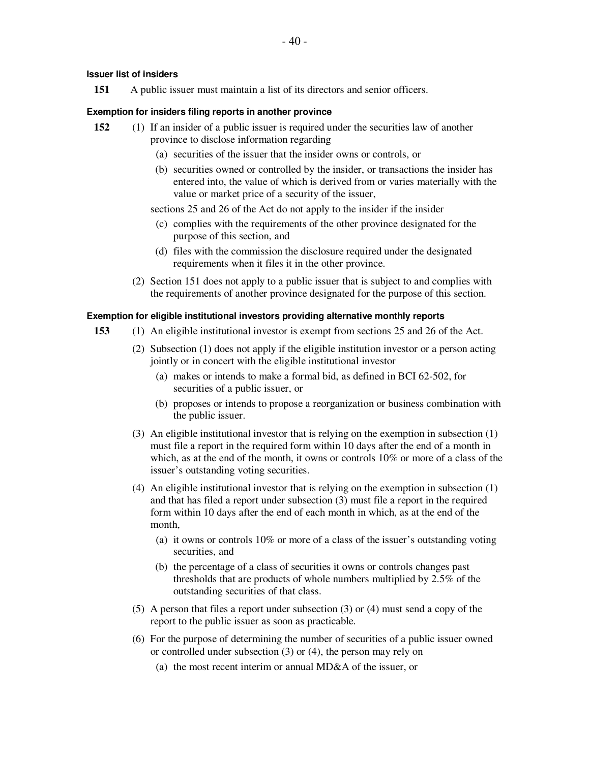# **Issuer list of insiders**

**151** A public issuer must maintain a list of its directors and senior officers.

# **Exemption for insiders filing reports in another province**

- **152** (1) If an insider of a public issuer is required under the securities law of another province to disclose information regarding
	- (a) securities of the issuer that the insider owns or controls, or
	- (b) securities owned or controlled by the insider, or transactions the insider has entered into, the value of which is derived from or varies materially with the value or market price of a security of the issuer,

sections 25 and 26 of the Act do not apply to the insider if the insider

- (c) complies with the requirements of the other province designated for the purpose of this section, and
- (d) files with the commission the disclosure required under the designated requirements when it files it in the other province.
- (2) Section 151 does not apply to a public issuer that is subject to and complies with the requirements of another province designated for the purpose of this section.

# **Exemption for eligible institutional investors providing alternative monthly reports**

- **153** (1) An eligible institutional investor is exempt from sections 25 and 26 of the Act.
	- (2) Subsection (1) does not apply if the eligible institution investor or a person acting jointly or in concert with the eligible institutional investor
		- (a) makes or intends to make a formal bid, as defined in BCI 62-502, for securities of a public issuer, or
		- (b) proposes or intends to propose a reorganization or business combination with the public issuer.
	- (3) An eligible institutional investor that is relying on the exemption in subsection (1) must file a report in the required form within 10 days after the end of a month in which, as at the end of the month, it owns or controls 10% or more of a class of the issuer's outstanding voting securities.
	- (4) An eligible institutional investor that is relying on the exemption in subsection (1) and that has filed a report under subsection (3) must file a report in the required form within 10 days after the end of each month in which, as at the end of the month,
		- (a) it owns or controls 10% or more of a class of the issuer's outstanding voting securities, and
		- (b) the percentage of a class of securities it owns or controls changes past thresholds that are products of whole numbers multiplied by 2.5% of the outstanding securities of that class.
	- (5) A person that files a report under subsection (3) or (4) must send a copy of the report to the public issuer as soon as practicable.
	- (6) For the purpose of determining the number of securities of a public issuer owned or controlled under subsection (3) or (4), the person may rely on
		- (a) the most recent interim or annual MD&A of the issuer, or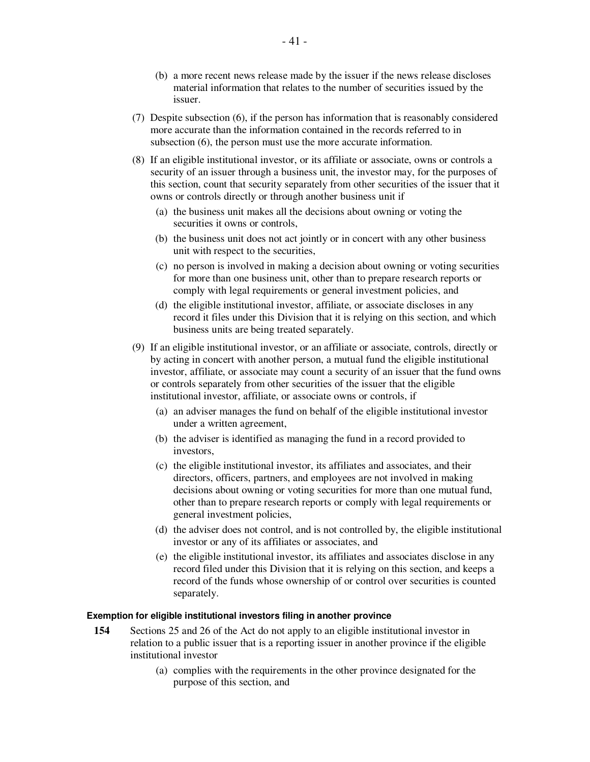- (b) a more recent news release made by the issuer if the news release discloses material information that relates to the number of securities issued by the issuer.
- (7) Despite subsection (6), if the person has information that is reasonably considered more accurate than the information contained in the records referred to in subsection (6), the person must use the more accurate information.
- (8) If an eligible institutional investor, or its affiliate or associate, owns or controls a security of an issuer through a business unit, the investor may, for the purposes of this section, count that security separately from other securities of the issuer that it owns or controls directly or through another business unit if
	- (a) the business unit makes all the decisions about owning or voting the securities it owns or controls,
	- (b) the business unit does not act jointly or in concert with any other business unit with respect to the securities,
	- (c) no person is involved in making a decision about owning or voting securities for more than one business unit, other than to prepare research reports or comply with legal requirements or general investment policies, and
	- (d) the eligible institutional investor, affiliate, or associate discloses in any record it files under this Division that it is relying on this section, and which business units are being treated separately.
- (9) If an eligible institutional investor, or an affiliate or associate, controls, directly or by acting in concert with another person, a mutual fund the eligible institutional investor, affiliate, or associate may count a security of an issuer that the fund owns or controls separately from other securities of the issuer that the eligible institutional investor, affiliate, or associate owns or controls, if
	- (a) an adviser manages the fund on behalf of the eligible institutional investor under a written agreement,
	- (b) the adviser is identified as managing the fund in a record provided to investors,
	- (c) the eligible institutional investor, its affiliates and associates, and their directors, officers, partners, and employees are not involved in making decisions about owning or voting securities for more than one mutual fund, other than to prepare research reports or comply with legal requirements or general investment policies,
	- (d) the adviser does not control, and is not controlled by, the eligible institutional investor or any of its affiliates or associates, and
	- (e) the eligible institutional investor, its affiliates and associates disclose in any record filed under this Division that it is relying on this section, and keeps a record of the funds whose ownership of or control over securities is counted separately.

#### **Exemption for eligible institutional investors filing in another province**

- **154** Sections 25 and 26 of the Act do not apply to an eligible institutional investor in relation to a public issuer that is a reporting issuer in another province if the eligible institutional investor
	- (a) complies with the requirements in the other province designated for the purpose of this section, and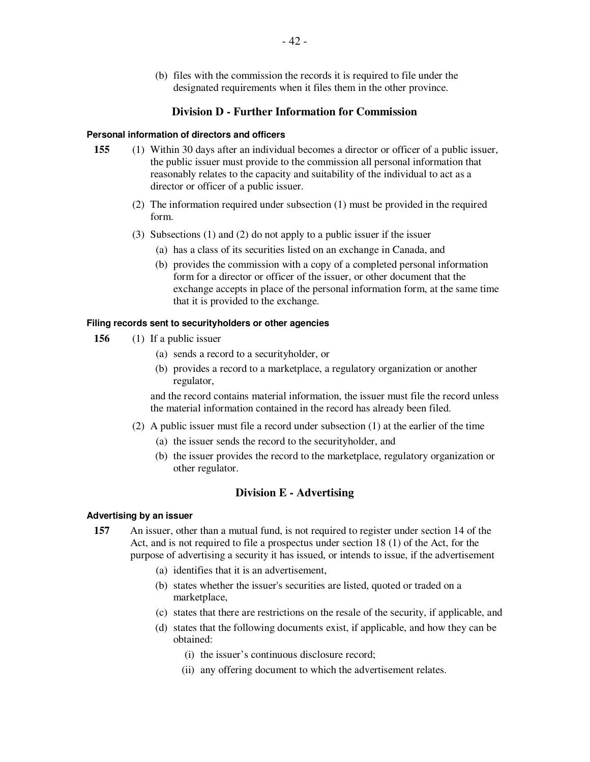(b) files with the commission the records it is required to file under the designated requirements when it files them in the other province.

# **Division D - Further Information for Commission**

#### **Personal information of directors and officers**

- **155** (1) Within 30 days after an individual becomes a director or officer of a public issuer, the public issuer must provide to the commission all personal information that reasonably relates to the capacity and suitability of the individual to act as a director or officer of a public issuer.
	- (2) The information required under subsection (1) must be provided in the required form.
	- (3) Subsections (1) and (2) do not apply to a public issuer if the issuer
		- (a) has a class of its securities listed on an exchange in Canada, and
		- (b) provides the commission with a copy of a completed personal information form for a director or officer of the issuer, or other document that the exchange accepts in place of the personal information form, at the same time that it is provided to the exchange.

#### **Filing records sent to securityholders or other agencies**

- **156** (1) If a public issuer
	- (a) sends a record to a securityholder, or
	- (b) provides a record to a marketplace, a regulatory organization or another regulator,

and the record contains material information, the issuer must file the record unless the material information contained in the record has already been filed.

- (2) A public issuer must file a record under subsection (1) at the earlier of the time
	- (a) the issuer sends the record to the securityholder, and
	- (b) the issuer provides the record to the marketplace, regulatory organization or other regulator.

# **Division E - Advertising**

#### **Advertising by an issuer**

- **157** An issuer, other than a mutual fund, is not required to register under section 14 of the Act, and is not required to file a prospectus under section 18 (1) of the Act, for the purpose of advertising a security it has issued, or intends to issue, if the advertisement
	- (a) identifies that it is an advertisement,
	- (b) states whether the issuer's securities are listed, quoted or traded on a marketplace,
	- (c) states that there are restrictions on the resale of the security, if applicable, and
	- (d) states that the following documents exist, if applicable, and how they can be obtained:
		- (i) the issuer's continuous disclosure record;
		- (ii) any offering document to which the advertisement relates.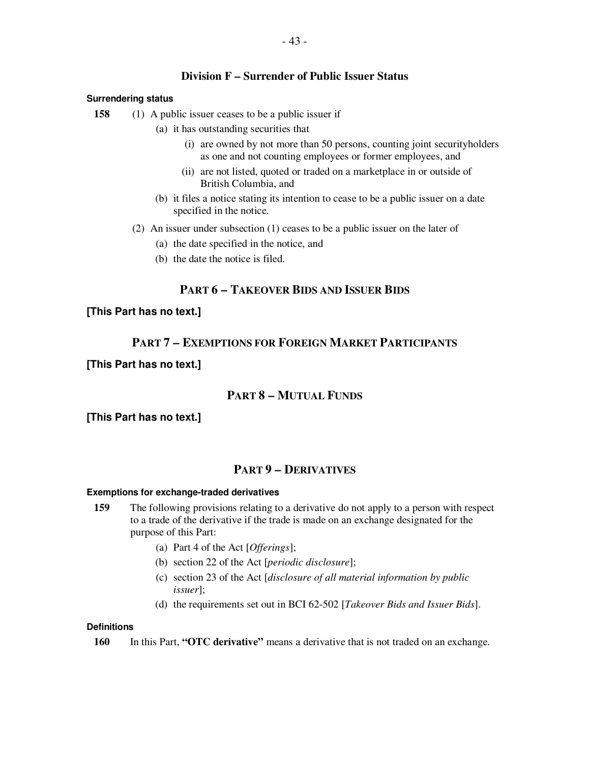# **Division F – Surrender of Public Issuer Status**

# **Surrendering status**

**158** (1) A public issuer ceases to be a public issuer if

- (a) it has outstanding securities that
	- (i) are owned by not more than 50 persons, counting joint securityholders as one and not counting employees or former employees, and
	- (ii) are not listed, quoted or traded on a marketplace in or outside of British Columbia, and
- (b) it files a notice stating its intention to cease to be a public issuer on a date specified in the notice.
- (2) An issuer under subsection (1) ceases to be a public issuer on the later of
	- (a) the date specified in the notice, and
	- (b) the date the notice is filed.

# **PART 6 – TAKEOVER BIDS AND ISSUER BIDS**

# **[This Part has no text.]**

# **PART 7 – EXEMPTIONS FOR FOREIGN MARKET PARTICIPANTS**

# **[This Part has no text.]**

# **PART 8 – MUTUAL FUNDS**

# **[This Part has no text.]**

# **PART 9 – DERIVATIVES**

# **Exemptions for exchange-traded derivatives**

- **159** The following provisions relating to a derivative do not apply to a person with respect to a trade of the derivative if the trade is made on an exchange designated for the purpose of this Part:
	- (a) Part 4 of the Act [*Offerings*];
	- (b) section 22 of the Act [*periodic disclosure*];
	- (c) section 23 of the Act [*disclosure of all material information by public issuer*];
	- (d) the requirements set out in BCI 62-502 [*Takeover Bids and Issuer Bids*].

# **Definitions**

**160** In this Part, **"OTC derivative"** means a derivative that is not traded on an exchange.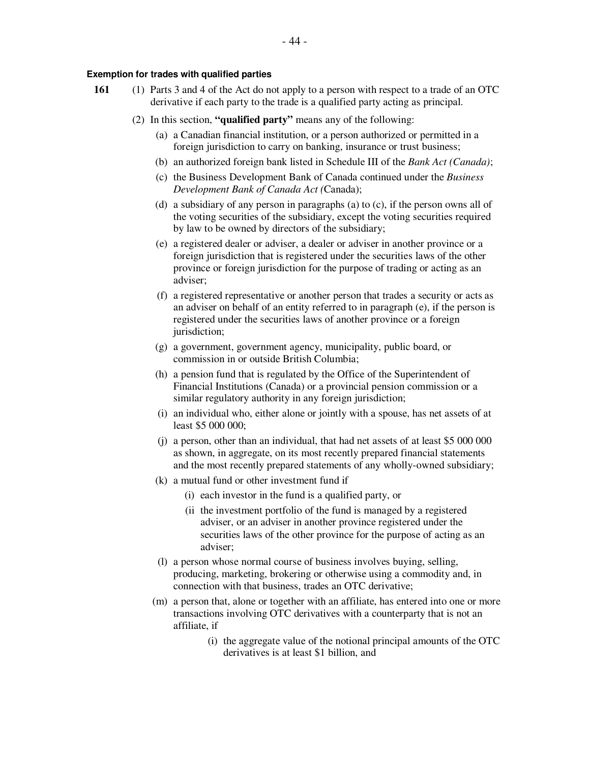## **Exemption for trades with qualified parties**

- **161** (1) Parts 3 and 4 of the Act do not apply to a person with respect to a trade of an OTC derivative if each party to the trade is a qualified party acting as principal.
	- (2) In this section, **"qualified party"** means any of the following:
		- (a) a Canadian financial institution, or a person authorized or permitted in a foreign jurisdiction to carry on banking, insurance or trust business;
		- (b) an authorized foreign bank listed in Schedule III of the *Bank Act (Canada)*;
		- (c) the Business Development Bank of Canada continued under the *Business Development Bank of Canada Act (*Canada);
		- (d) a subsidiary of any person in paragraphs (a) to (c), if the person owns all of the voting securities of the subsidiary, except the voting securities required by law to be owned by directors of the subsidiary;
		- (e) a registered dealer or adviser, a dealer or adviser in another province or a foreign jurisdiction that is registered under the securities laws of the other province or foreign jurisdiction for the purpose of trading or acting as an adviser;
		- (f) a registered representative or another person that trades a security or acts as an adviser on behalf of an entity referred to in paragraph (e), if the person is registered under the securities laws of another province or a foreign jurisdiction;
		- (g) a government, government agency, municipality, public board, or commission in or outside British Columbia;
		- (h) a pension fund that is regulated by the Office of the Superintendent of Financial Institutions (Canada) or a provincial pension commission or a similar regulatory authority in any foreign jurisdiction;
		- (i) an individual who, either alone or jointly with a spouse, has net assets of at least \$5 000 000;
		- (j) a person, other than an individual, that had net assets of at least \$5 000 000 as shown, in aggregate, on its most recently prepared financial statements and the most recently prepared statements of any wholly-owned subsidiary;
		- (k) a mutual fund or other investment fund if
			- (i) each investor in the fund is a qualified party, or
			- (ii the investment portfolio of the fund is managed by a registered adviser, or an adviser in another province registered under the securities laws of the other province for the purpose of acting as an adviser;
		- (l) a person whose normal course of business involves buying, selling, producing, marketing, brokering or otherwise using a commodity and, in connection with that business, trades an OTC derivative;
		- (m) a person that, alone or together with an affiliate, has entered into one or more transactions involving OTC derivatives with a counterparty that is not an affiliate, if
			- (i) the aggregate value of the notional principal amounts of the OTC derivatives is at least \$1 billion, and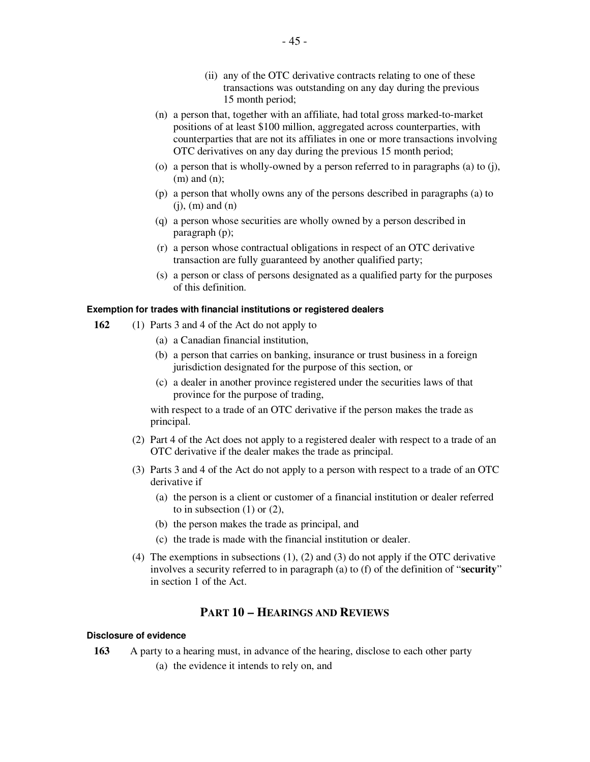- (ii) any of the OTC derivative contracts relating to one of these transactions was outstanding on any day during the previous 15 month period;
- (n) a person that, together with an affiliate, had total gross marked-to-market positions of at least \$100 million, aggregated across counterparties, with counterparties that are not its affiliates in one or more transactions involving OTC derivatives on any day during the previous 15 month period;
- (o) a person that is wholly-owned by a person referred to in paragraphs (a) to (j), (m) and (n);
- (p) a person that wholly owns any of the persons described in paragraphs (a) to  $(j)$ ,  $(m)$  and  $(n)$
- (q) a person whose securities are wholly owned by a person described in paragraph (p);
- (r) a person whose contractual obligations in respect of an OTC derivative transaction are fully guaranteed by another qualified party;
- (s) a person or class of persons designated as a qualified party for the purposes of this definition.

#### **Exemption for trades with financial institutions or registered dealers**

- **162** (1) Parts 3 and 4 of the Act do not apply to
	- (a) a Canadian financial institution,
	- (b) a person that carries on banking, insurance or trust business in a foreign jurisdiction designated for the purpose of this section, or
	- (c) a dealer in another province registered under the securities laws of that province for the purpose of trading,

with respect to a trade of an OTC derivative if the person makes the trade as principal.

- (2) Part 4 of the Act does not apply to a registered dealer with respect to a trade of an OTC derivative if the dealer makes the trade as principal.
- (3) Parts 3 and 4 of the Act do not apply to a person with respect to a trade of an OTC derivative if
	- (a) the person is a client or customer of a financial institution or dealer referred to in subsection  $(1)$  or  $(2)$ ,
	- (b) the person makes the trade as principal, and
	- (c) the trade is made with the financial institution or dealer.
- (4) The exemptions in subsections (1), (2) and (3) do not apply if the OTC derivative involves a security referred to in paragraph (a) to (f) of the definition of "**security**" in section 1 of the Act.

# **PART 10 – HEARINGS AND REVIEWS**

# **Disclosure of evidence**

**163** A party to a hearing must, in advance of the hearing, disclose to each other party

(a) the evidence it intends to rely on, and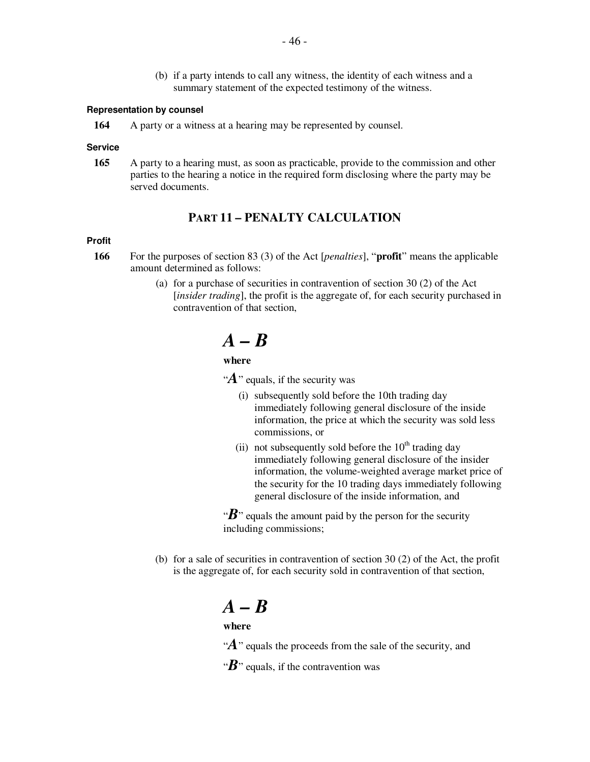(b) if a party intends to call any witness, the identity of each witness and a summary statement of the expected testimony of the witness.

#### **Representation by counsel**

**164** A party or a witness at a hearing may be represented by counsel.

#### **Service**

**165** A party to a hearing must, as soon as practicable, provide to the commission and other parties to the hearing a notice in the required form disclosing where the party may be served documents.

# **PART 11 – PENALTY CALCULATION**

#### **Profit**

- **166** For the purposes of section 83 (3) of the Act [*penalties*], "**profit**" means the applicable amount determined as follows:
	- (a) for a purchase of securities in contravention of section 30 (2) of the Act [*insider trading*], the profit is the aggregate of, for each security purchased in contravention of that section,

# *A – B*

# **where**

" $\mathbf{A}$ " equals, if the security was

- (i) subsequently sold before the 10th trading day immediately following general disclosure of the inside information, the price at which the security was sold less commissions, or
- (ii) not subsequently sold before the  $10<sup>th</sup>$  trading day immediately following general disclosure of the insider information, the volume-weighted average market price of the security for the 10 trading days immediately following general disclosure of the inside information, and

" $\mathbf{B}$ " equals the amount paid by the person for the security including commissions;

(b) for a sale of securities in contravention of section 30 (2) of the Act, the profit is the aggregate of, for each security sold in contravention of that section,

# *A – B*

# **where**

" $\mathbf{A}$ " equals the proceeds from the sale of the security, and

" $B$ " equals, if the contravention was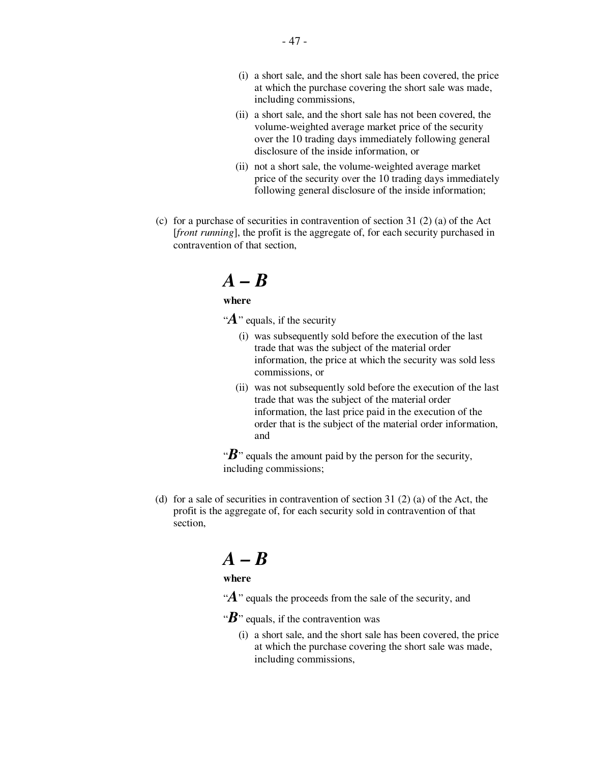- (i) a short sale, and the short sale has been covered, the price at which the purchase covering the short sale was made, including commissions,
- (ii) a short sale, and the short sale has not been covered, the volume-weighted average market price of the security over the 10 trading days immediately following general disclosure of the inside information, or
- (ii) not a short sale, the volume-weighted average market price of the security over the 10 trading days immediately following general disclosure of the inside information;
- (c) for a purchase of securities in contravention of section 31 (2) (a) of the Act [*front running*], the profit is the aggregate of, for each security purchased in contravention of that section,

# *A – B*

# **where**

"A" equals, if the security

- (i) was subsequently sold before the execution of the last trade that was the subject of the material order information, the price at which the security was sold less commissions, or
- (ii) was not subsequently sold before the execution of the last trade that was the subject of the material order information, the last price paid in the execution of the order that is the subject of the material order information, and

" $\mathbf{B}$ " equals the amount paid by the person for the security, including commissions;

(d) for a sale of securities in contravention of section 31 (2) (a) of the Act, the profit is the aggregate of, for each security sold in contravention of that section,

# *A – B*

# **where**

- " $\mathbf{A}$ " equals the proceeds from the sale of the security, and
- " $B$ " equals, if the contravention was
	- (i) a short sale, and the short sale has been covered, the price at which the purchase covering the short sale was made, including commissions,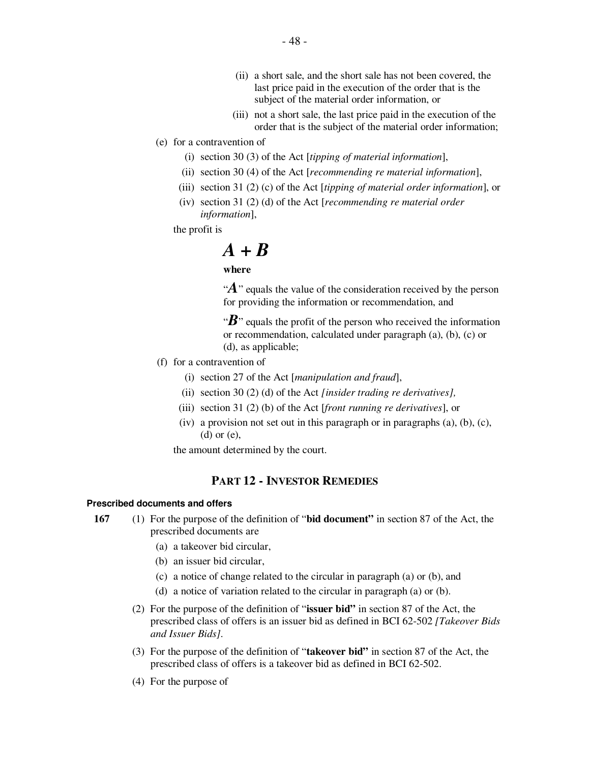- (ii) a short sale, and the short sale has not been covered, the last price paid in the execution of the order that is the subject of the material order information, or
- (iii) not a short sale, the last price paid in the execution of the order that is the subject of the material order information;
- (e) for a contravention of
	- (i) section 30 (3) of the Act [*tipping of material information*],
	- (ii) section 30 (4) of the Act [*recommending re material information*],
	- (iii) section 31 (2) (c) of the Act [*tipping of material order information*], or
	- (iv) section 31 (2) (d) of the Act [*recommending re material order information*],

the profit is

# *A + B*

## **where**

" $\mathbf{A}$ " equals the value of the consideration received by the person for providing the information or recommendation, and

" $\mathbf{B}$ " equals the profit of the person who received the information or recommendation, calculated under paragraph (a), (b), (c) or (d), as applicable;

- (f) for a contravention of
	- (i) section 27 of the Act [*manipulation and fraud*],
	- (ii) section 30 (2) (d) of the Act *[insider trading re derivatives],*
	- (iii) section 31 (2) (b) of the Act [*front running re derivatives*], or
	- (iv) a provision not set out in this paragraph or in paragraphs  $(a)$ ,  $(b)$ ,  $(c)$ , (d) or (e),

the amount determined by the court.

# **PART 12 - INVESTOR REMEDIES**

#### **Prescribed documents and offers**

- **167** (1) For the purpose of the definition of "**bid document"** in section 87 of the Act, the prescribed documents are
	- (a) a takeover bid circular,
	- (b) an issuer bid circular,
	- (c) a notice of change related to the circular in paragraph (a) or (b), and
	- (d) a notice of variation related to the circular in paragraph (a) or (b).
	- (2) For the purpose of the definition of "**issuer bid"** in section 87 of the Act, the prescribed class of offers is an issuer bid as defined in BCI 62-502 *[Takeover Bids and Issuer Bids]*.
	- (3) For the purpose of the definition of "**takeover bid"** in section 87 of the Act, the prescribed class of offers is a takeover bid as defined in BCI 62-502.
	- (4) For the purpose of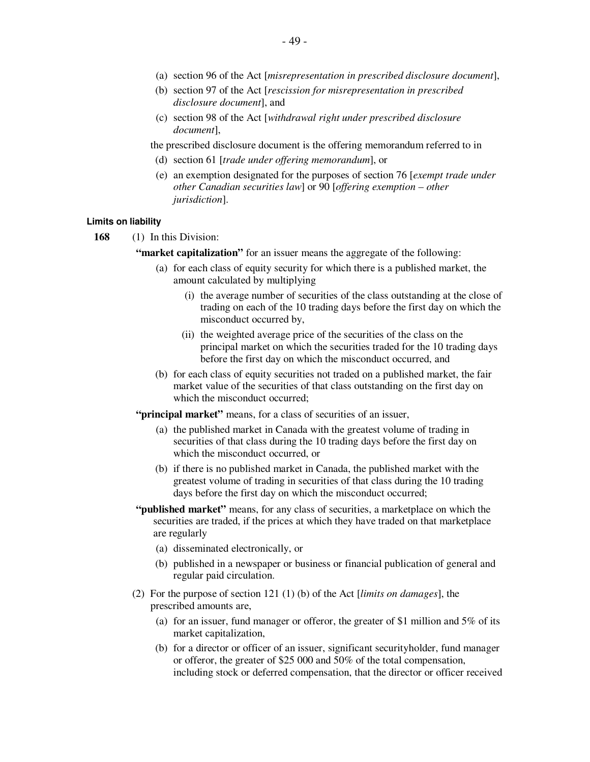- (a) section 96 of the Act [*misrepresentation in prescribed disclosure document*],
- (b) section 97 of the Act [*rescission for misrepresentation in prescribed disclosure document*], and
- (c) section 98 of the Act [*withdrawal right under prescribed disclosure document*],

the prescribed disclosure document is the offering memorandum referred to in

- (d) section 61 [*trade under offering memorandum*], or
- (e) an exemption designated for the purposes of section 76 [*exempt trade under other Canadian securities law*] or 90 [*offering exemption – other jurisdiction*].

#### **Limits on liability**

**168** (1) In this Division:

**"market capitalization"** for an issuer means the aggregate of the following:

- (a) for each class of equity security for which there is a published market, the amount calculated by multiplying
	- (i) the average number of securities of the class outstanding at the close of trading on each of the 10 trading days before the first day on which the misconduct occurred by,
	- (ii) the weighted average price of the securities of the class on the principal market on which the securities traded for the 10 trading days before the first day on which the misconduct occurred, and
- (b) for each class of equity securities not traded on a published market, the fair market value of the securities of that class outstanding on the first day on which the misconduct occurred:

**"principal market"** means, for a class of securities of an issuer,

- (a) the published market in Canada with the greatest volume of trading in securities of that class during the 10 trading days before the first day on which the misconduct occurred, or
- (b) if there is no published market in Canada, the published market with the greatest volume of trading in securities of that class during the 10 trading days before the first day on which the misconduct occurred;
- **"published market"** means, for any class of securities, a marketplace on which the securities are traded, if the prices at which they have traded on that marketplace are regularly
	- (a) disseminated electronically, or
	- (b) published in a newspaper or business or financial publication of general and regular paid circulation.
- (2) For the purpose of section 121 (1) (b) of the Act [*limits on damages*], the prescribed amounts are,
	- (a) for an issuer, fund manager or offeror, the greater of \$1 million and 5% of its market capitalization,
	- (b) for a director or officer of an issuer, significant securityholder, fund manager or offeror, the greater of \$25 000 and 50% of the total compensation, including stock or deferred compensation, that the director or officer received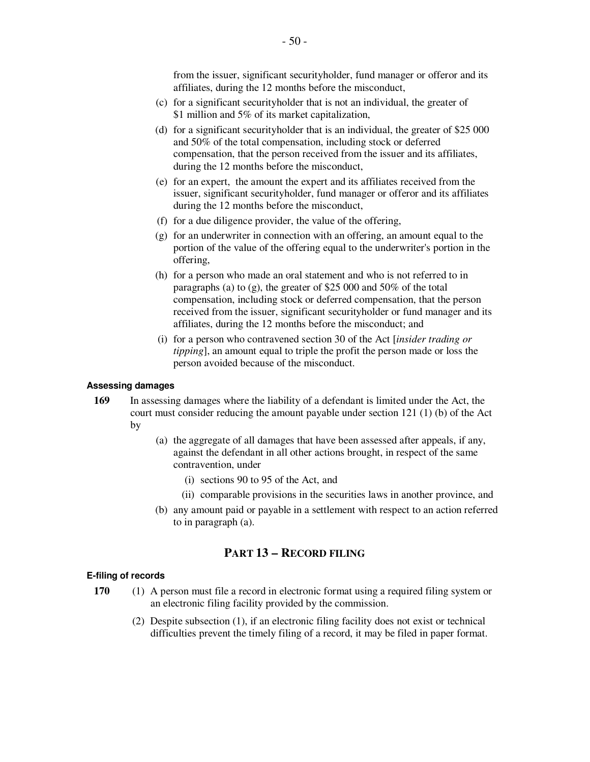from the issuer, significant securityholder, fund manager or offeror and its affiliates, during the 12 months before the misconduct,

- (c) for a significant securityholder that is not an individual, the greater of \$1 million and 5% of its market capitalization,
- (d) for a significant securityholder that is an individual, the greater of \$25 000 and 50% of the total compensation, including stock or deferred compensation, that the person received from the issuer and its affiliates, during the 12 months before the misconduct,
- (e) for an expert, the amount the expert and its affiliates received from the issuer, significant securityholder, fund manager or offeror and its affiliates during the 12 months before the misconduct,
- (f) for a due diligence provider, the value of the offering,
- (g) for an underwriter in connection with an offering, an amount equal to the portion of the value of the offering equal to the underwriter's portion in the offering,
- (h) for a person who made an oral statement and who is not referred to in paragraphs (a) to (g), the greater of \$25 000 and 50% of the total compensation, including stock or deferred compensation, that the person received from the issuer, significant securityholder or fund manager and its affiliates, during the 12 months before the misconduct; and
- (i) for a person who contravened section 30 of the Act [*insider trading or tipping*], an amount equal to triple the profit the person made or loss the person avoided because of the misconduct.

## **Assessing damages**

- **169** In assessing damages where the liability of a defendant is limited under the Act, the court must consider reducing the amount payable under section 121 (1) (b) of the Act by
	- (a) the aggregate of all damages that have been assessed after appeals, if any, against the defendant in all other actions brought, in respect of the same contravention, under
		- (i) sections 90 to 95 of the Act, and
		- (ii) comparable provisions in the securities laws in another province, and
	- (b) any amount paid or payable in a settlement with respect to an action referred to in paragraph (a).

# **PART 13 – RECORD FILING**

## **E-filing of records**

- **170** (1) A person must file a record in electronic format using a required filing system or an electronic filing facility provided by the commission.
	- (2) Despite subsection (1), if an electronic filing facility does not exist or technical difficulties prevent the timely filing of a record, it may be filed in paper format.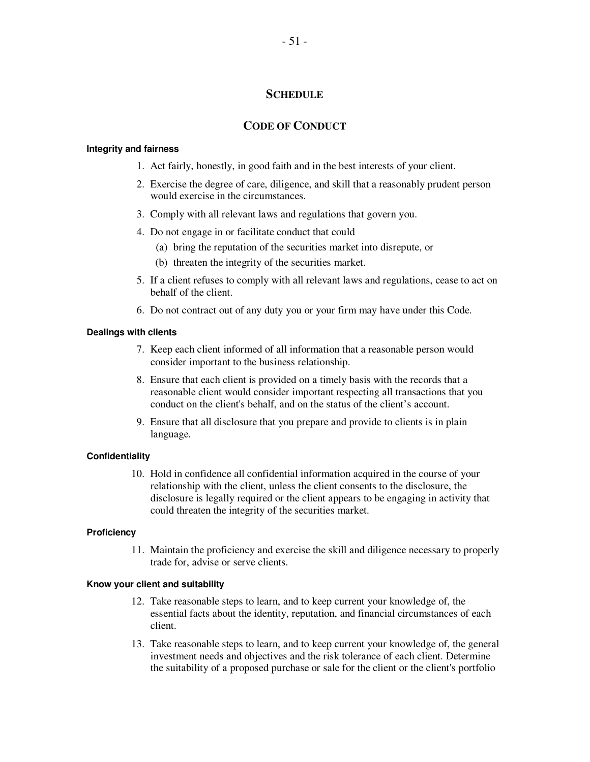# **SCHEDULE**

# **CODE OF CONDUCT**

#### **Integrity and fairness**

- 1. Act fairly, honestly, in good faith and in the best interests of your client.
- 2. Exercise the degree of care, diligence, and skill that a reasonably prudent person would exercise in the circumstances.
- 3. Comply with all relevant laws and regulations that govern you.
- 4. Do not engage in or facilitate conduct that could
	- (a) bring the reputation of the securities market into disrepute, or
	- (b) threaten the integrity of the securities market.
- 5. If a client refuses to comply with all relevant laws and regulations, cease to act on behalf of the client.
- 6. Do not contract out of any duty you or your firm may have under this Code.

## **Dealings with clients**

- 7. Keep each client informed of all information that a reasonable person would consider important to the business relationship.
- 8. Ensure that each client is provided on a timely basis with the records that a reasonable client would consider important respecting all transactions that you conduct on the client's behalf, and on the status of the client's account.
- 9. Ensure that all disclosure that you prepare and provide to clients is in plain language.

## **Confidentiality**

10. Hold in confidence all confidential information acquired in the course of your relationship with the client, unless the client consents to the disclosure, the disclosure is legally required or the client appears to be engaging in activity that could threaten the integrity of the securities market.

## **Proficiency**

11. Maintain the proficiency and exercise the skill and diligence necessary to properly trade for, advise or serve clients.

# **Know your client and suitability**

- 12. Take reasonable steps to learn, and to keep current your knowledge of, the essential facts about the identity, reputation, and financial circumstances of each client.
- 13. Take reasonable steps to learn, and to keep current your knowledge of, the general investment needs and objectives and the risk tolerance of each client. Determine the suitability of a proposed purchase or sale for the client or the client's portfolio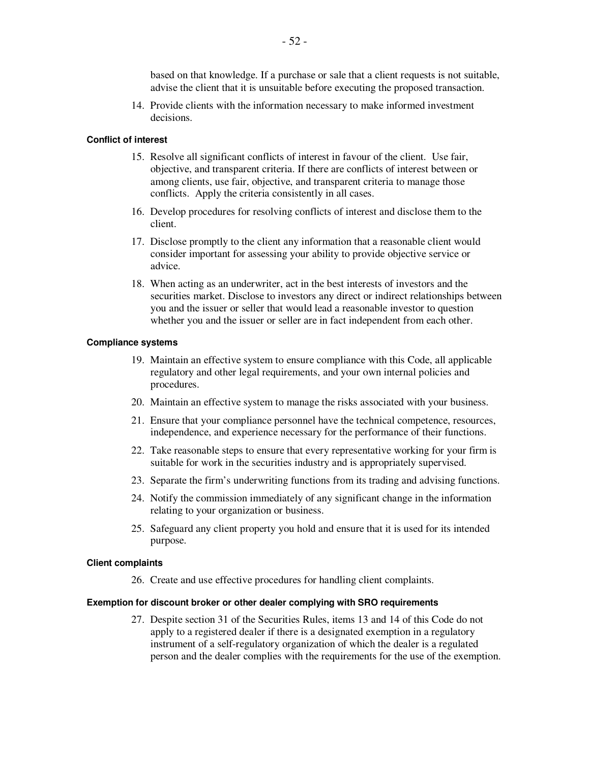based on that knowledge. If a purchase or sale that a client requests is not suitable, advise the client that it is unsuitable before executing the proposed transaction.

14. Provide clients with the information necessary to make informed investment decisions.

#### **Conflict of interest**

- 15. Resolve all significant conflicts of interest in favour of the client. Use fair, objective, and transparent criteria. If there are conflicts of interest between or among clients, use fair, objective, and transparent criteria to manage those conflicts. Apply the criteria consistently in all cases.
- 16. Develop procedures for resolving conflicts of interest and disclose them to the client.
- 17. Disclose promptly to the client any information that a reasonable client would consider important for assessing your ability to provide objective service or advice.
- 18. When acting as an underwriter, act in the best interests of investors and the securities market. Disclose to investors any direct or indirect relationships between you and the issuer or seller that would lead a reasonable investor to question whether you and the issuer or seller are in fact independent from each other.

#### **Compliance systems**

- 19. Maintain an effective system to ensure compliance with this Code, all applicable regulatory and other legal requirements, and your own internal policies and procedures.
- 20. Maintain an effective system to manage the risks associated with your business.
- 21. Ensure that your compliance personnel have the technical competence, resources, independence, and experience necessary for the performance of their functions.
- 22. Take reasonable steps to ensure that every representative working for your firm is suitable for work in the securities industry and is appropriately supervised.
- 23. Separate the firm's underwriting functions from its trading and advising functions.
- 24. Notify the commission immediately of any significant change in the information relating to your organization or business.
- 25. Safeguard any client property you hold and ensure that it is used for its intended purpose.

#### **Client complaints**

26. Create and use effective procedures for handling client complaints.

#### **Exemption for discount broker or other dealer complying with SRO requirements**

27. Despite section 31 of the Securities Rules, items 13 and 14 of this Code do not apply to a registered dealer if there is a designated exemption in a regulatory instrument of a self-regulatory organization of which the dealer is a regulated person and the dealer complies with the requirements for the use of the exemption.